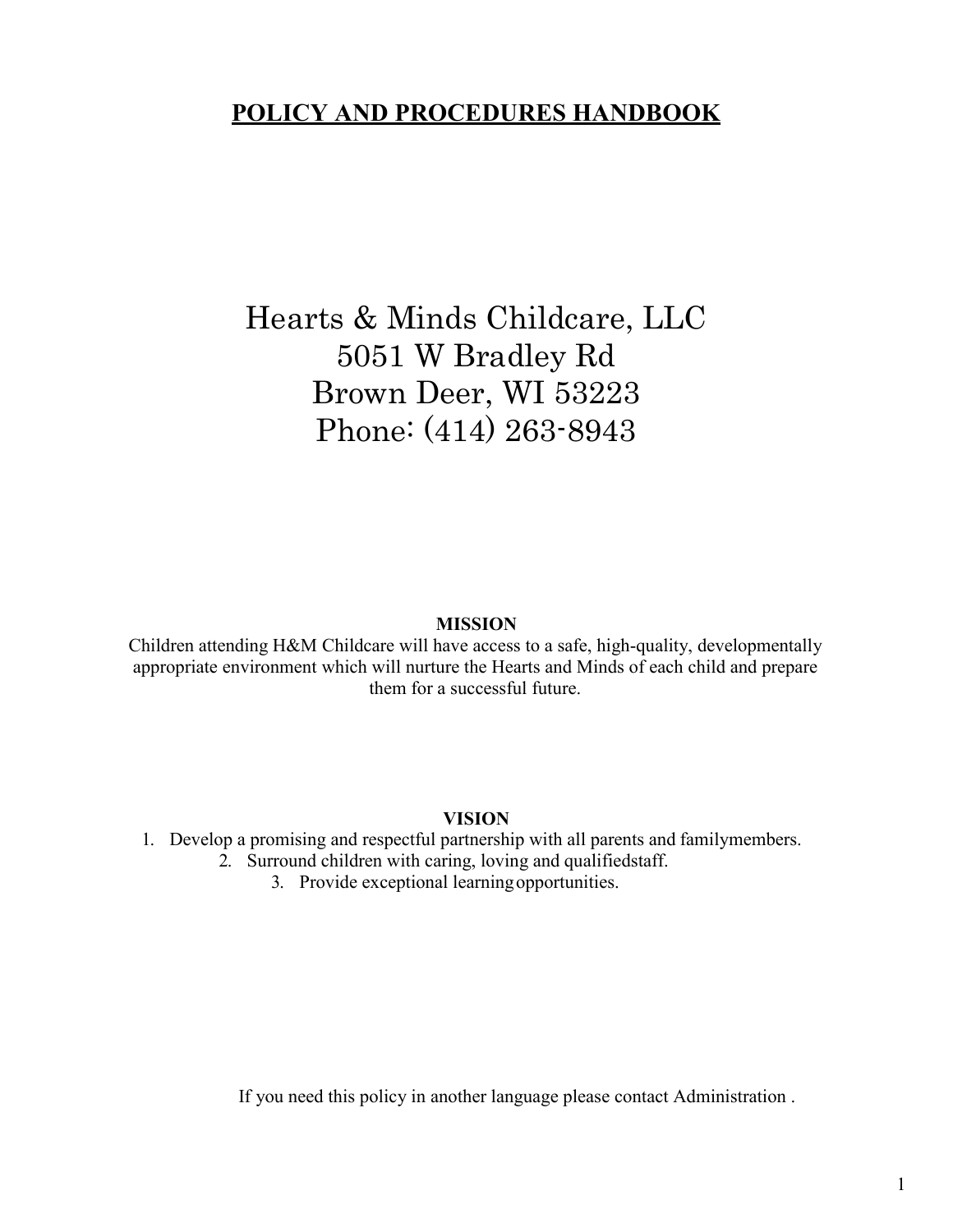## **POLICY AND PROCEDURES HANDBOOK**

# Hearts & Minds Childcare, LLC 5051 W Bradley Rd Brown Deer, WI 53223 Phone: (414) 263-8943

#### **MISSION**

Children attending H&M Childcare will have access to a safe, high-quality, developmentally appropriate environment which will nurture the Hearts and Minds of each child and prepare them for a successful future.

#### **VISION**

#### 1. Develop a promising and respectful partnership with all parents and familymembers.

- 2. Surround children with caring, loving and qualifiedstaff.
	- 3. Provide exceptional learningopportunities.

If you need this policy in another language please contact Administration .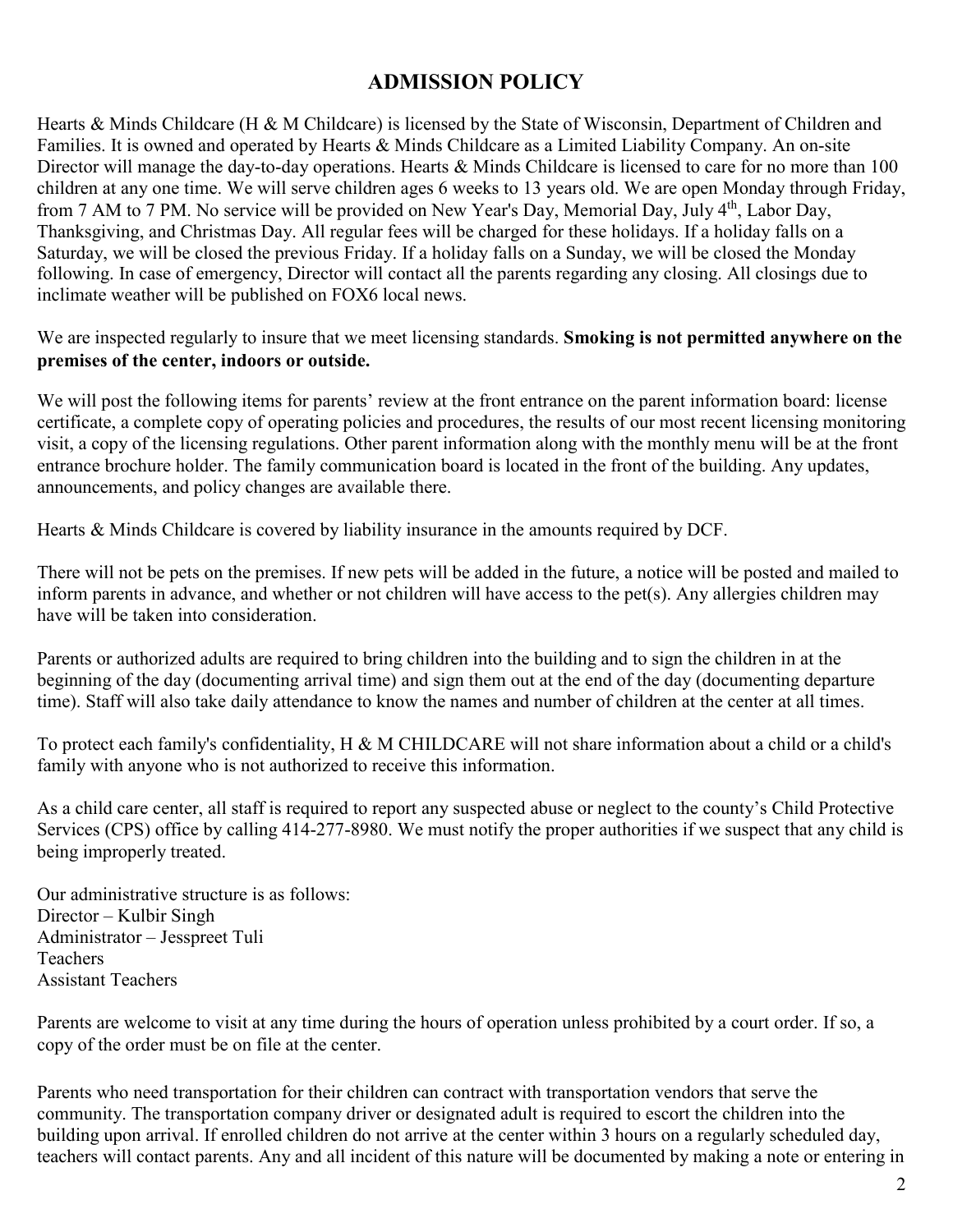## **ADMISSION POLICY**

Hearts & Minds Childcare (H & M Childcare) is licensed by the State of Wisconsin, Department of Children and Families. It is owned and operated by Hearts & Minds Childcare as a Limited Liability Company. An on-site Director will manage the day-to-day operations. Hearts & Minds Childcare is licensed to care for no more than 100 children at any one time. We will serve children ages 6 weeks to 13 years old. We are open Monday through Friday, from 7 AM to 7 PM. No service will be provided on New Year's Day, Memorial Day, July 4th, Labor Day, Thanksgiving, and Christmas Day. All regular fees will be charged for these holidays. If a holiday falls on a Saturday, we will be closed the previous Friday. If a holiday falls on a Sunday, we will be closed the Monday following. In case of emergency, Director will contact all the parents regarding any closing. All closings due to inclimate weather will be published on FOX6 local news.

We are inspected regularly to insure that we meet licensing standards. **Smoking is not permitted anywhere on the premises of the center, indoors or outside.**

We will post the following items for parents' review at the front entrance on the parent information board: license certificate, a complete copy of operating policies and procedures, the results of our most recent licensing monitoring visit, a copy of the licensing regulations. Other parent information along with the monthly menu will be at the front entrance brochure holder. The family communication board is located in the front of the building. Any updates, announcements, and policy changes are available there.

Hearts & Minds Childcare is covered by liability insurance in the amounts required by DCF.

There will not be pets on the premises. If new pets will be added in the future, a notice will be posted and mailed to inform parents in advance, and whether or not children will have access to the pet(s). Any allergies children may have will be taken into consideration.

Parents or authorized adults are required to bring children into the building and to sign the children in at the beginning of the day (documenting arrival time) and sign them out at the end of the day (documenting departure time). Staff will also take daily attendance to know the names and number of children at the center at all times.

To protect each family's confidentiality, H & M CHILDCARE will not share information about a child or a child's family with anyone who is not authorized to receive this information.

As a child care center, all staff is required to report any suspected abuse or neglect to the county's Child Protective Services (CPS) office by calling 414-277-8980. We must notify the proper authorities if we suspect that any child is being improperly treated.

Our administrative structure is as follows: Director – Kulbir Singh Administrator – Jesspreet Tuli **Teachers** Assistant Teachers

Parents are welcome to visit at any time during the hours of operation unless prohibited by a court order. If so, a copy of the order must be on file at the center.

Parents who need transportation for their children can contract with transportation vendors that serve the community. The transportation company driver or designated adult is required to escort the children into the building upon arrival. If enrolled children do not arrive at the center within 3 hours on a regularly scheduled day, teachers will contact parents. Any and all incident of this nature will be documented by making a note or entering in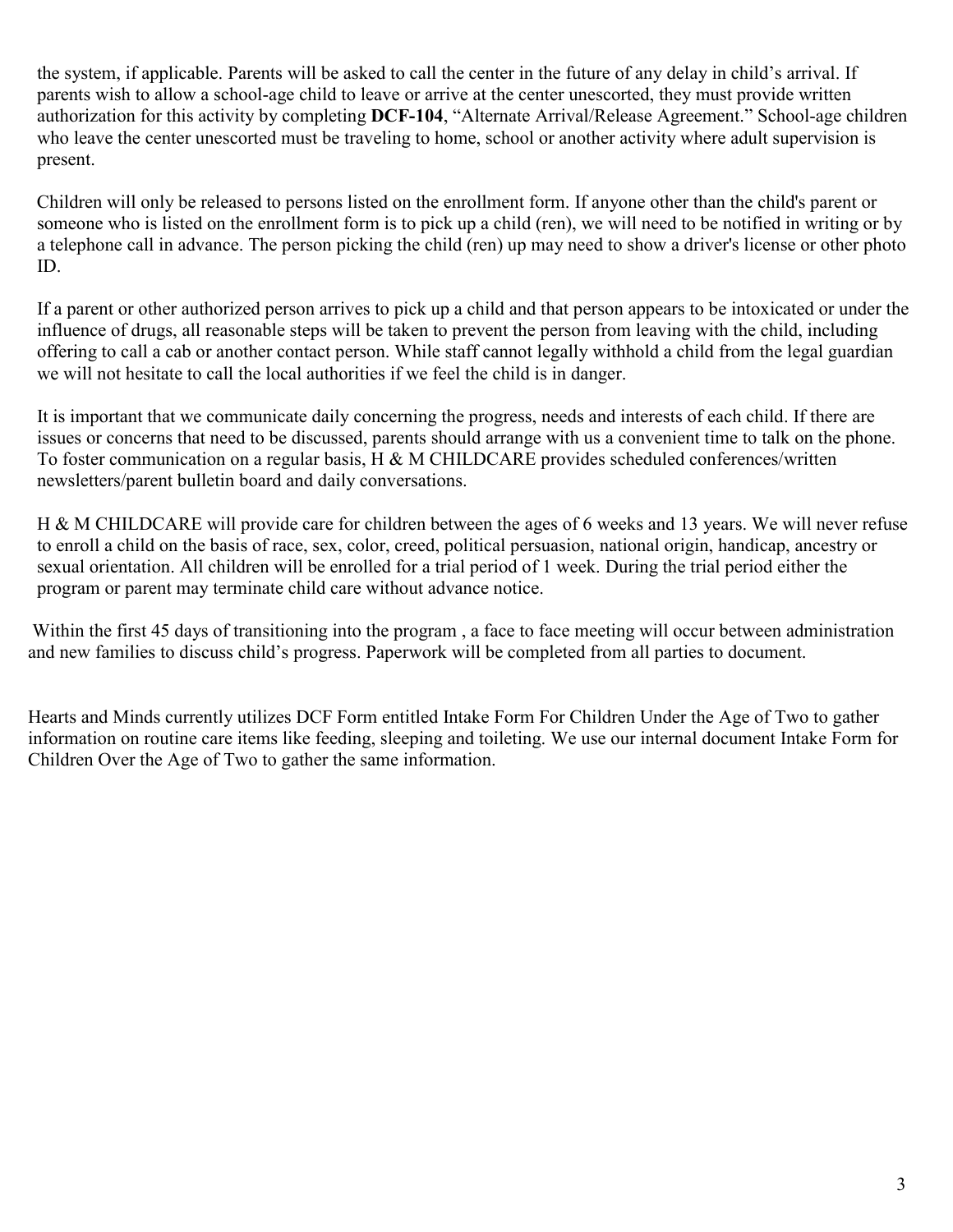the system, if applicable. Parents will be asked to call the center in the future of any delay in child's arrival. If parents wish to allow a school-age child to leave or arrive at the center unescorted, they must provide written authorization for this activity by completing **DCF-104**, "Alternate Arrival/Release Agreement." School-age children who leave the center unescorted must be traveling to home, school or another activity where adult supervision is present.

Children will only be released to persons listed on the enrollment form. If anyone other than the child's parent or someone who is listed on the enrollment form is to pick up a child (ren), we will need to be notified in writing or by a telephone call in advance. The person picking the child (ren) up may need to show a driver's license or other photo ID.

If a parent or other authorized person arrives to pick up a child and that person appears to be intoxicated or under the influence of drugs, all reasonable steps will be taken to prevent the person from leaving with the child, including offering to call a cab or another contact person. While staff cannot legally withhold a child from the legal guardian we will not hesitate to call the local authorities if we feel the child is in danger.

It is important that we communicate daily concerning the progress, needs and interests of each child. If there are issues or concerns that need to be discussed, parents should arrange with us a convenient time to talk on the phone. To foster communication on a regular basis, H & M CHILDCARE provides scheduled conferences/written newsletters/parent bulletin board and daily conversations.

H & M CHILDCARE will provide care for children between the ages of 6 weeks and 13 years. We will never refuse to enroll a child on the basis of race, sex, color, creed, political persuasion, national origin, handicap, ancestry or sexual orientation. All children will be enrolled for a trial period of 1 week. During the trial period either the program or parent may terminate child care without advance notice.

Within the first 45 days of transitioning into the program , a face to face meeting will occur between administration and new families to discuss child's progress. Paperwork will be completed from all parties to document.

Hearts and Minds currently utilizes DCF Form entitled Intake Form For Children Under the Age of Two to gather information on routine care items like feeding, sleeping and toileting. We use our internal document Intake Form for Children Over the Age of Two to gather the same information.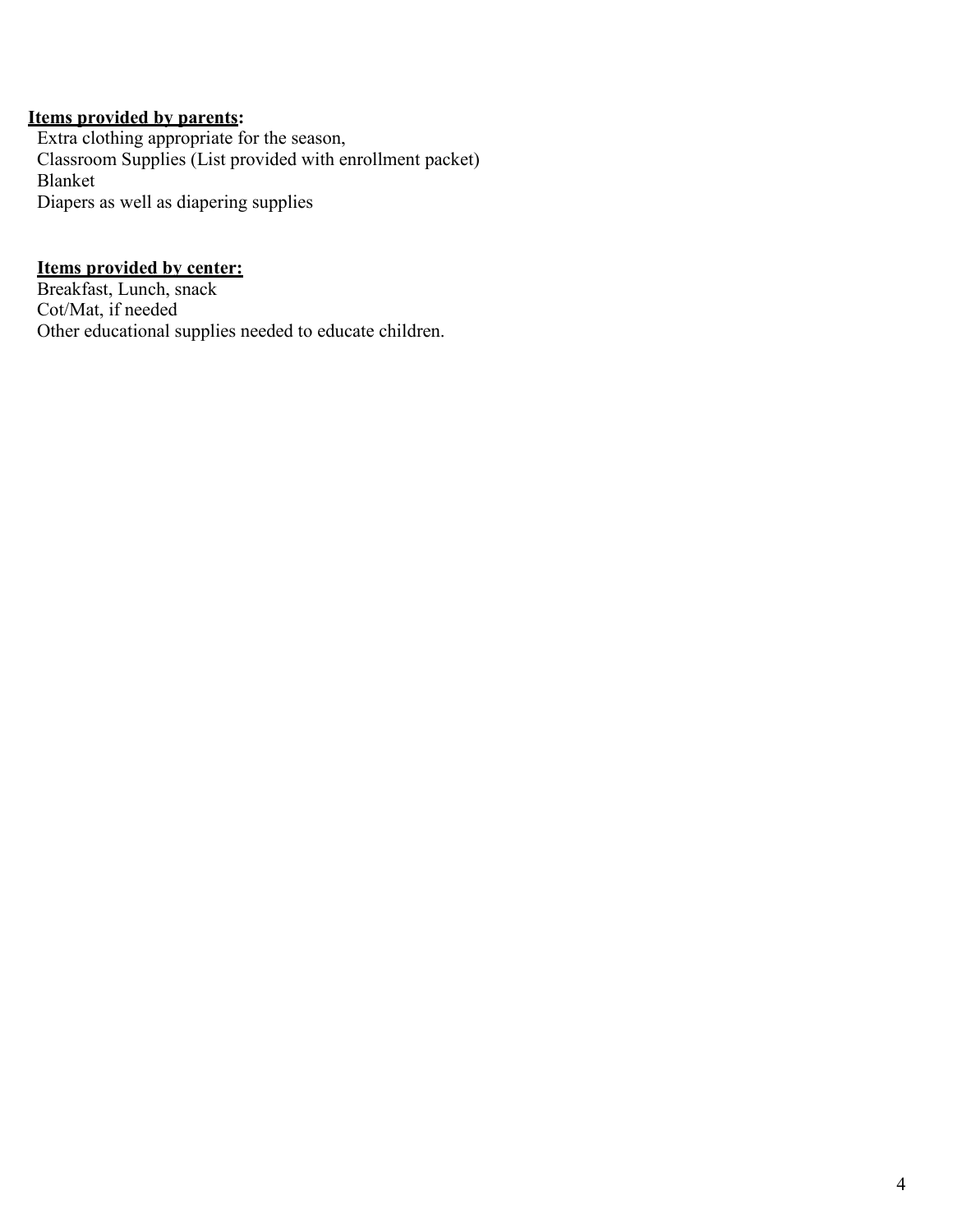#### **Items provided by parents:**

Extra clothing appropriate for the season, Classroom Supplies (List provided with enrollment packet) Blanket Diapers as well as diapering supplies

#### **Items provided by center:**

Breakfast, Lunch, snack Cot/Mat, if needed Other educational supplies needed to educate children.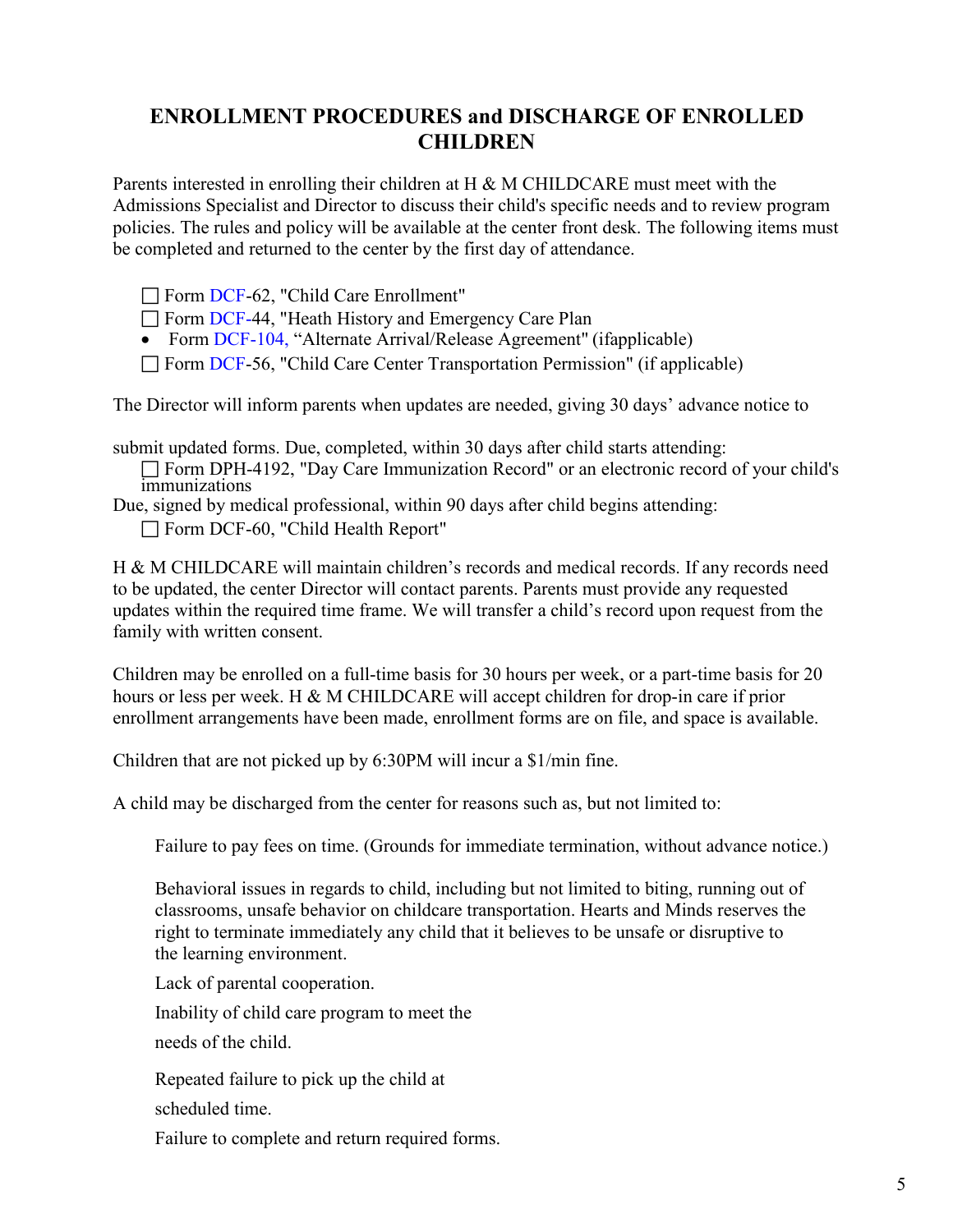### **ENROLLMENT PROCEDURES and DISCHARGE OF ENROLLED CHILDREN**

Parents interested in enrolling their children at H & M CHILDCARE must meet with the Admissions Specialist and Director to discuss their child's specific needs and to review program policies. The rules and policy will be available at the center front desk. The following items must be completed and returned to the center by the first day of attendance.

Form DCF-62, "Child Care Enrollment"

Form DCF-44, "Heath History and Emergency Care Plan

• Form DCF-104, "Alternate Arrival/Release Agreement" (ifapplicable)

 $\Box$  Form DCF-56, "Child Care Center Transportation Permission" (if applicable)

The Director will inform parents when updates are needed, giving 30 days' advance notice to

submit updated forms. Due, completed, within 30 days after child starts attending:

Form DPH-4192, "Day Care Immunization Record" or an electronic record of your child's immunizations

Due, signed by medical professional, within 90 days after child begins attending: Form DCF-60, "Child Health Report"

H & M CHILDCARE will maintain children's records and medical records. If any records need to be updated, the center Director will contact parents. Parents must provide any requested updates within the required time frame. We will transfer a child's record upon request from the family with written consent.

Children may be enrolled on a full-time basis for 30 hours per week, or a part-time basis for 20 hours or less per week. H & M CHILDCARE will accept children for drop-in care if prior enrollment arrangements have been made, enrollment forms are on file, and space is available.

Children that are not picked up by 6:30PM will incur a \$1/min fine.

A child may be discharged from the center for reasons such as, but not limited to:

Failure to pay fees on time. (Grounds for immediate termination, without advance notice.)

Behavioral issues in regards to child, including but not limited to biting, running out of classrooms, unsafe behavior on childcare transportation. Hearts and Minds reserves the right to terminate immediately any child that it believes to be unsafe or disruptive to the learning environment.

Lack of parental cooperation.

Inability of child care program to meet the

needs of the child.

Repeated failure to pick up the child at

scheduled time.

Failure to complete and return required forms.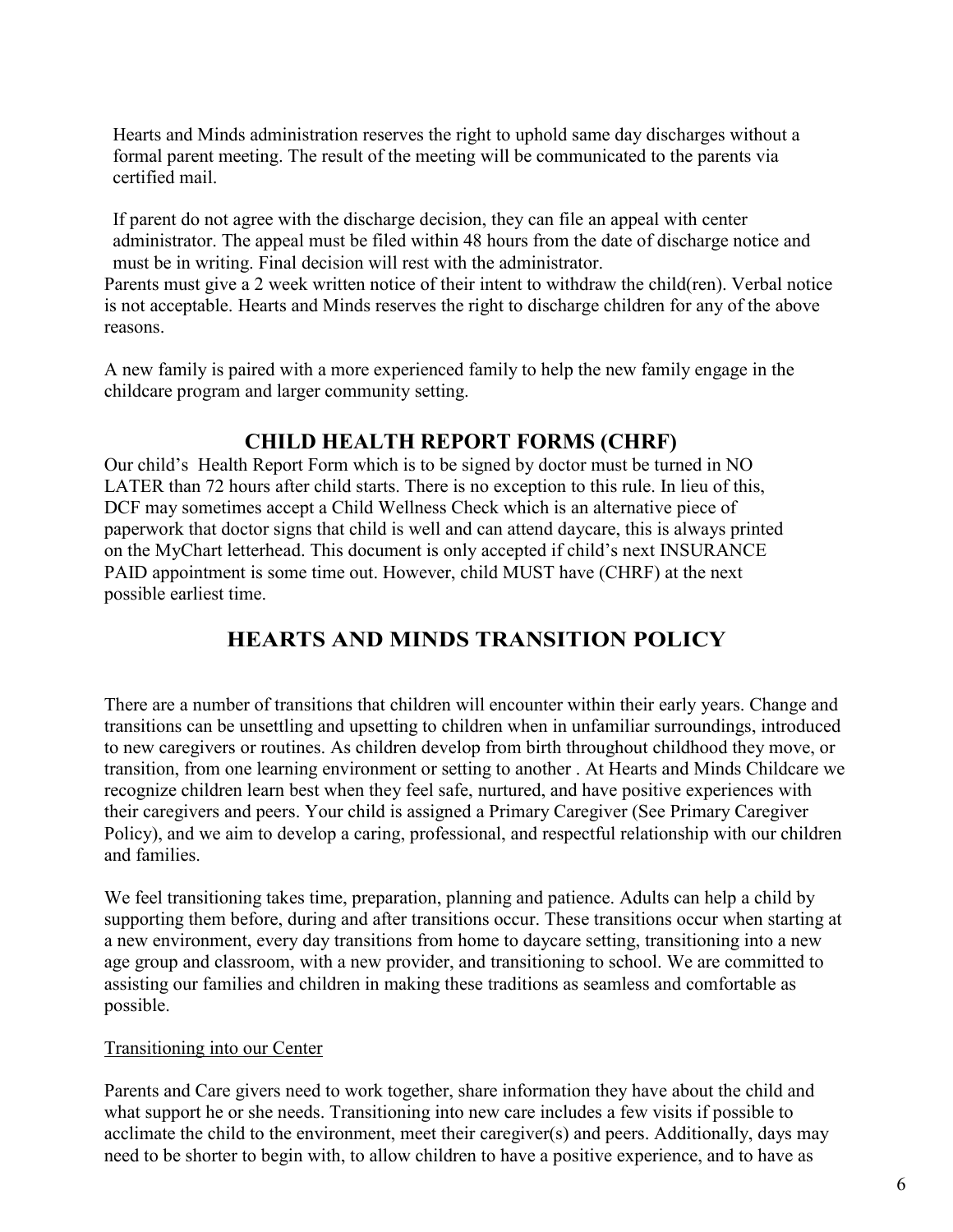Hearts and Minds administration reserves the right to uphold same day discharges without a formal parent meeting. The result of the meeting will be communicated to the parents via certified mail.

If parent do not agree with the discharge decision, they can file an appeal with center administrator. The appeal must be filed within 48 hours from the date of discharge notice and must be in writing. Final decision will rest with the administrator.

Parents must give a 2 week written notice of their intent to withdraw the child(ren). Verbal notice is not acceptable. Hearts and Minds reserves the right to discharge children for any of the above reasons.

A new family is paired with a more experienced family to help the new family engage in the childcare program and larger community setting.

### **CHILD HEALTH REPORT FORMS (CHRF)**

Our child's Health Report Form which is to be signed by doctor must be turned in NO LATER than 72 hours after child starts. There is no exception to this rule. In lieu of this, DCF may sometimes accept a Child Wellness Check which is an alternative piece of paperwork that doctor signs that child is well and can attend daycare, this is always printed on the MyChart letterhead. This document is only accepted if child's next INSURANCE PAID appointment is some time out. However, child MUST have (CHRF) at the next possible earliest time.

## **HEARTS AND MINDS TRANSITION POLICY**

There are a number of transitions that children will encounter within their early years. Change and transitions can be unsettling and upsetting to children when in unfamiliar surroundings, introduced to new caregivers or routines. As children develop from birth throughout childhood they move, or transition, from one learning environment or setting to another . At Hearts and Minds Childcare we recognize children learn best when they feel safe, nurtured, and have positive experiences with their caregivers and peers. Your child is assigned a Primary Caregiver (See Primary Caregiver Policy), and we aim to develop a caring, professional, and respectful relationship with our children and families.

We feel transitioning takes time, preparation, planning and patience. Adults can help a child by supporting them before, during and after transitions occur. These transitions occur when starting at a new environment, every day transitions from home to daycare setting, transitioning into a new age group and classroom, with a new provider, and transitioning to school. We are committed to assisting our families and children in making these traditions as seamless and comfortable as possible.

#### Transitioning into our Center

Parents and Care givers need to work together, share information they have about the child and what support he or she needs. Transitioning into new care includes a few visits if possible to acclimate the child to the environment, meet their caregiver(s) and peers. Additionally, days may need to be shorter to begin with, to allow children to have a positive experience, and to have as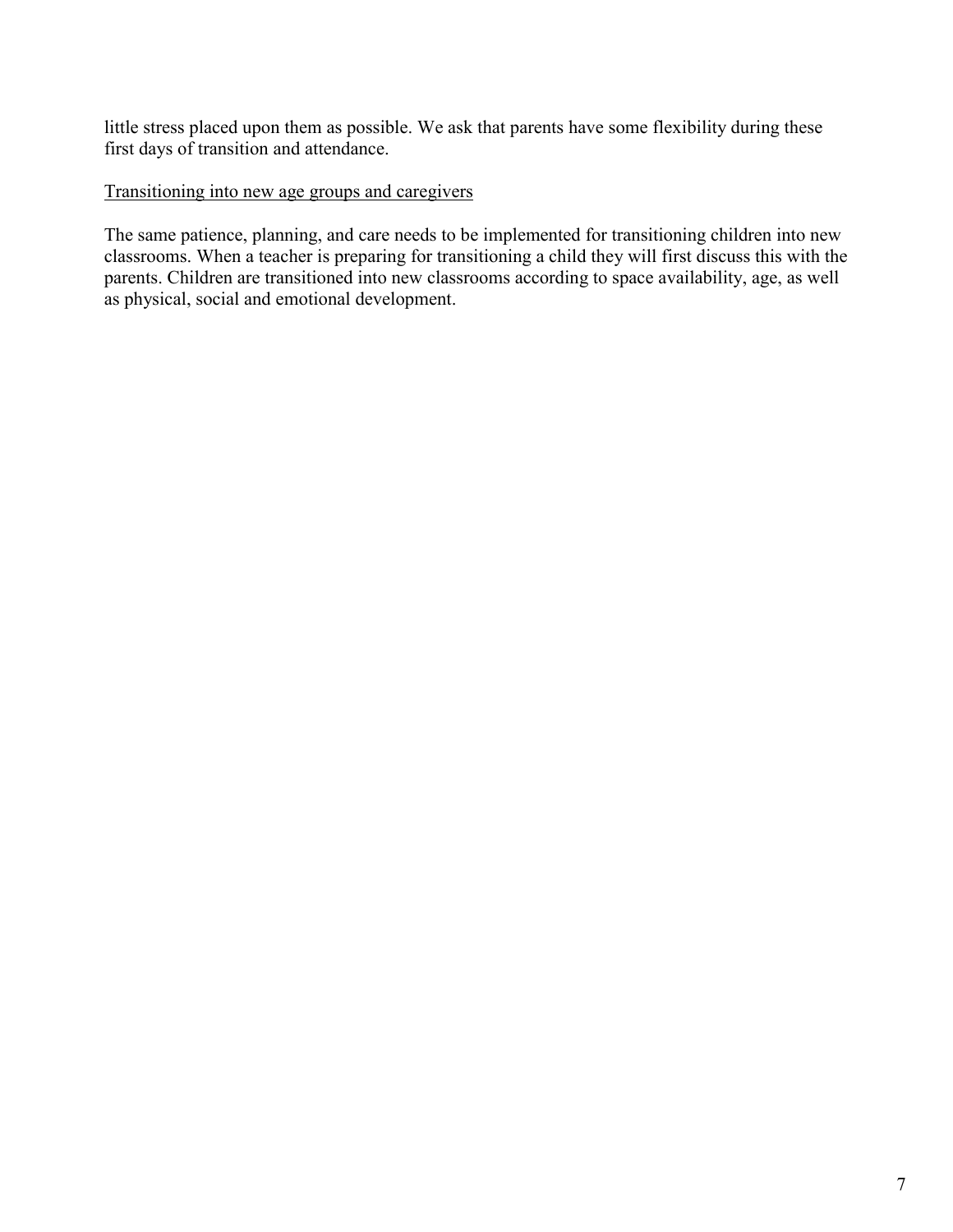little stress placed upon them as possible. We ask that parents have some flexibility during these first days of transition and attendance.

#### Transitioning into new age groups and caregivers

The same patience, planning, and care needs to be implemented for transitioning children into new classrooms. When a teacher is preparing for transitioning a child they will first discuss this with the parents. Children are transitioned into new classrooms according to space availability, age, as well as physical, social and emotional development.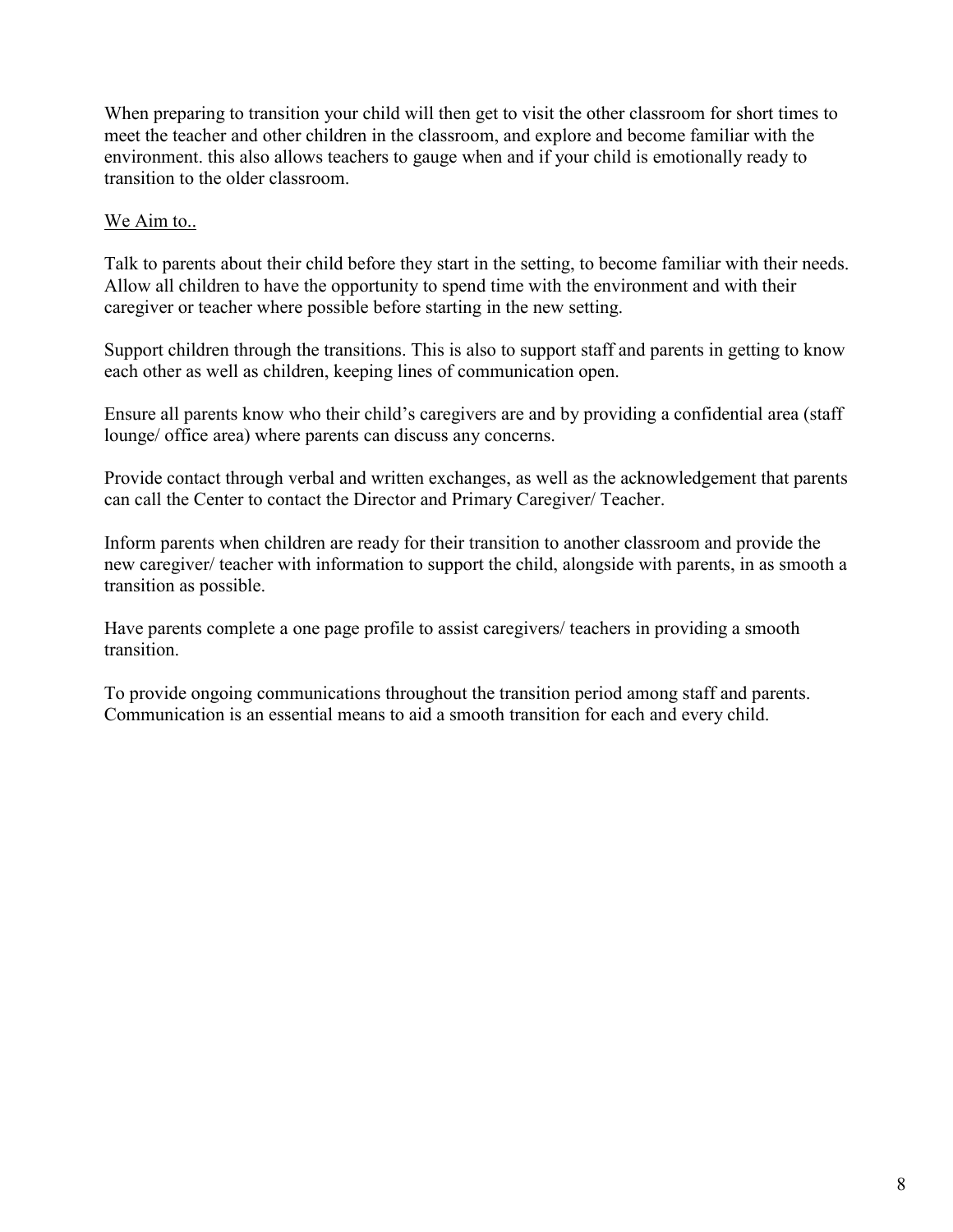When preparing to transition your child will then get to visit the other classroom for short times to meet the teacher and other children in the classroom, and explore and become familiar with the environment. this also allows teachers to gauge when and if your child is emotionally ready to transition to the older classroom.

#### We Aim to..

Talk to parents about their child before they start in the setting, to become familiar with their needs. Allow all children to have the opportunity to spend time with the environment and with their caregiver or teacher where possible before starting in the new setting.

Support children through the transitions. This is also to support staff and parents in getting to know each other as well as children, keeping lines of communication open.

Ensure all parents know who their child's caregivers are and by providing a confidential area (staff lounge/ office area) where parents can discuss any concerns.

Provide contact through verbal and written exchanges, as well as the acknowledgement that parents can call the Center to contact the Director and Primary Caregiver/ Teacher.

Inform parents when children are ready for their transition to another classroom and provide the new caregiver/ teacher with information to support the child, alongside with parents, in as smooth a transition as possible.

Have parents complete a one page profile to assist caregivers/ teachers in providing a smooth transition.

To provide ongoing communications throughout the transition period among staff and parents. Communication is an essential means to aid a smooth transition for each and every child.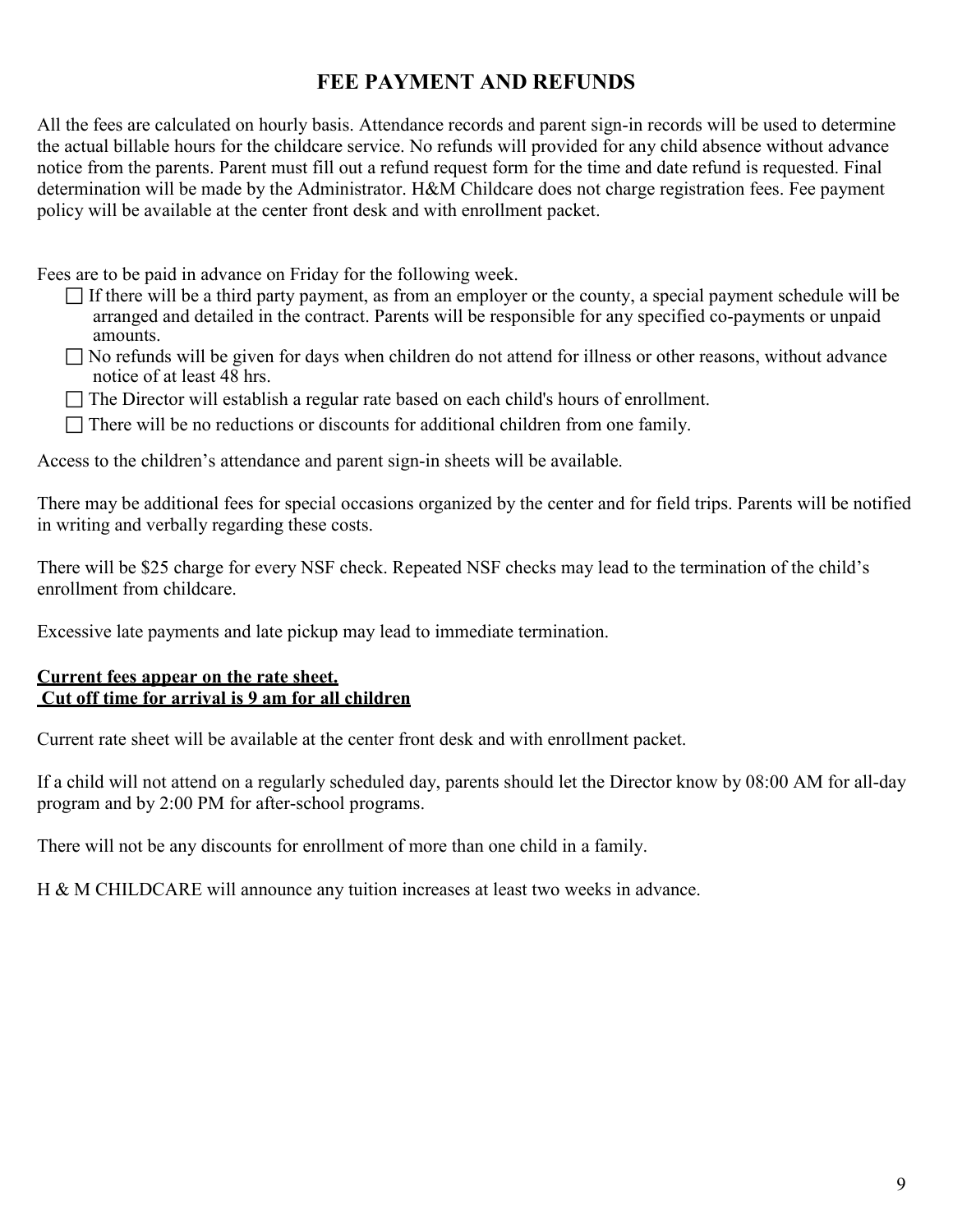### **FEE PAYMENT AND REFUNDS**

All the fees are calculated on hourly basis. Attendance records and parent sign-in records will be used to determine the actual billable hours for the childcare service. No refunds will provided for any child absence without advance notice from the parents. Parent must fill out a refund request form for the time and date refund is requested. Final determination will be made by the Administrator. H&M Childcare does not charge registration fees. Fee payment policy will be available at the center front desk and with enrollment packet.

Fees are to be paid in advance on Friday for the following week.

- $\Box$  If there will be a third party payment, as from an employer or the county, a special payment schedule will be arranged and detailed in the contract. Parents will be responsible for any specified co-payments or unpaid amounts.
- $\Box$  No refunds will be given for days when children do not attend for illness or other reasons, without advance notice of at least 48 hrs.
- $\Box$  The Director will establish a regular rate based on each child's hours of enrollment.
- $\Box$  There will be no reductions or discounts for additional children from one family.

Access to the children's attendance and parent sign-in sheets will be available.

There may be additional fees for special occasions organized by the center and for field trips. Parents will be notified in writing and verbally regarding these costs.

There will be \$25 charge for every NSF check. Repeated NSF checks may lead to the termination of the child's enrollment from childcare.

Excessive late payments and late pickup may lead to immediate termination.

#### **Current fees appear on the rate sheet. Cut off time for arrival is 9 am for all children**

Current rate sheet will be available at the center front desk and with enrollment packet.

If a child will not attend on a regularly scheduled day, parents should let the Director know by 08:00 AM for all-day program and by 2:00 PM for after-school programs.

There will not be any discounts for enrollment of more than one child in a family.

H & M CHILDCARE will announce any tuition increases at least two weeks in advance.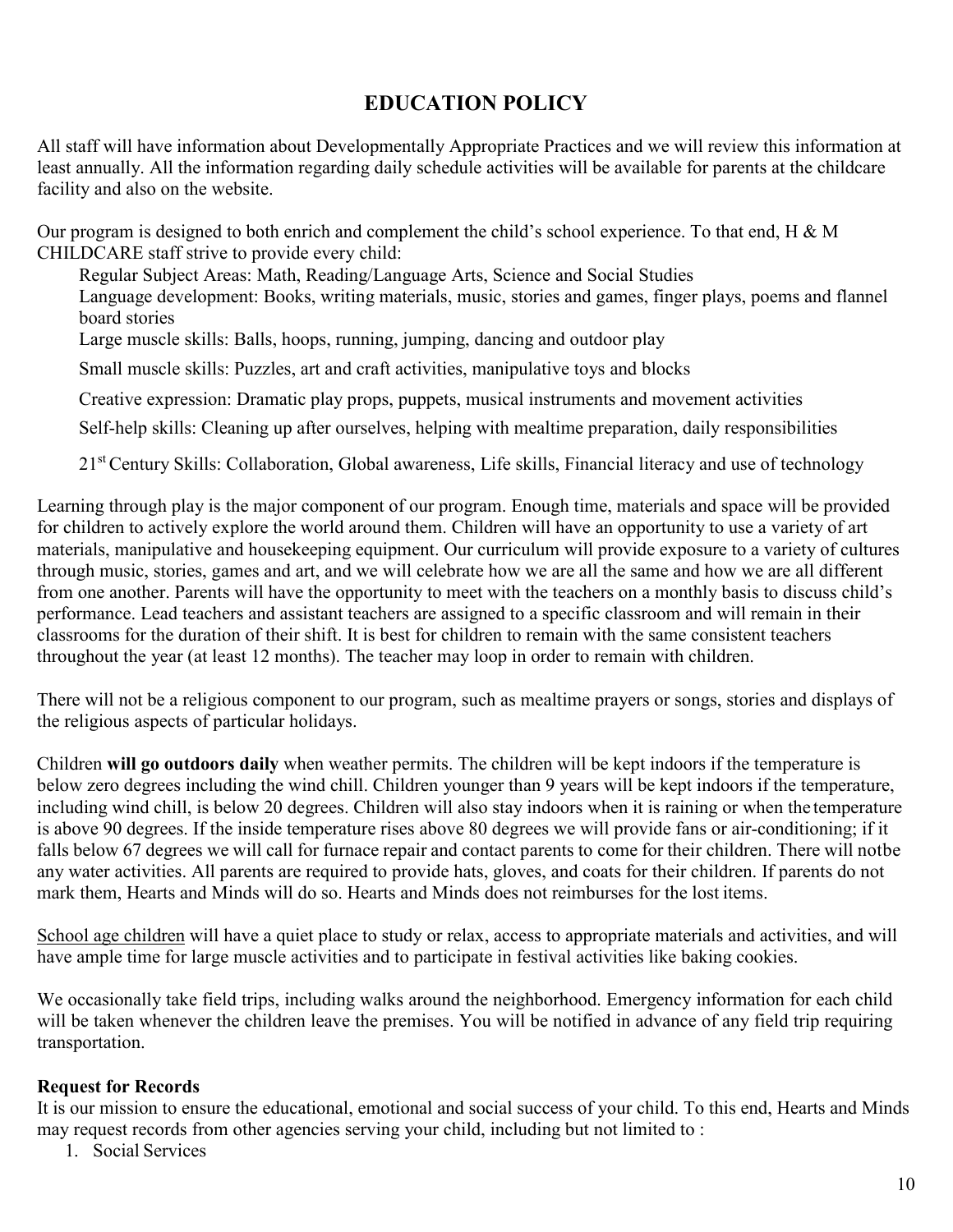## **EDUCATION POLICY**

All staff will have information about Developmentally Appropriate Practices and we will review this information at least annually. All the information regarding daily schedule activities will be available for parents at the childcare facility and also on the website.

Our program is designed to both enrich and complement the child's school experience. To that end, H & M CHILDCARE staff strive to provide every child:

Regular Subject Areas: Math, Reading/Language Arts, Science and Social Studies Language development: Books, writing materials, music, stories and games, finger plays, poems and flannel board stories

Large muscle skills: Balls, hoops, running, jumping, dancing and outdoor play

Small muscle skills: Puzzles, art and craft activities, manipulative toys and blocks

Creative expression: Dramatic play props, puppets, musical instruments and movement activities

Self-help skills: Cleaning up after ourselves, helping with mealtime preparation, daily responsibilities

21<sup>st</sup> Century Skills: Collaboration, Global awareness, Life skills, Financial literacy and use of technology

Learning through play is the major component of our program. Enough time, materials and space will be provided for children to actively explore the world around them. Children will have an opportunity to use a variety of art materials, manipulative and housekeeping equipment. Our curriculum will provide exposure to a variety of cultures through music, stories, games and art, and we will celebrate how we are all the same and how we are all different from one another. Parents will have the opportunity to meet with the teachers on a monthly basis to discuss child's performance. Lead teachers and assistant teachers are assigned to a specific classroom and will remain in their classrooms for the duration of their shift. It is best for children to remain with the same consistent teachers throughout the year (at least 12 months). The teacher may loop in order to remain with children.

There will not be a religious component to our program, such as mealtime prayers or songs, stories and displays of the religious aspects of particular holidays.

Children **will go outdoors daily** when weather permits. The children will be kept indoors if the temperature is below zero degrees including the wind chill. Children younger than 9 years will be kept indoors if the temperature, including wind chill, is below 20 degrees. Children will also stay indoors when it is raining or when the temperature is above 90 degrees. If the inside temperature rises above 80 degrees we will provide fans or air-conditioning; if it falls below 67 degrees we will call for furnace repair and contact parents to come for their children. There will notbe any water activities. All parents are required to provide hats, gloves, and coats for their children. If parents do not mark them, Hearts and Minds will do so. Hearts and Minds does not reimburses for the lost items.

School age children will have a quiet place to study or relax, access to appropriate materials and activities, and will have ample time for large muscle activities and to participate in festival activities like baking cookies.

We occasionally take field trips, including walks around the neighborhood. Emergency information for each child will be taken whenever the children leave the premises. You will be notified in advance of any field trip requiring transportation.

#### **Request for Records**

It is our mission to ensure the educational, emotional and social success of your child. To this end, Hearts and Minds may request records from other agencies serving your child, including but not limited to :

1. Social Services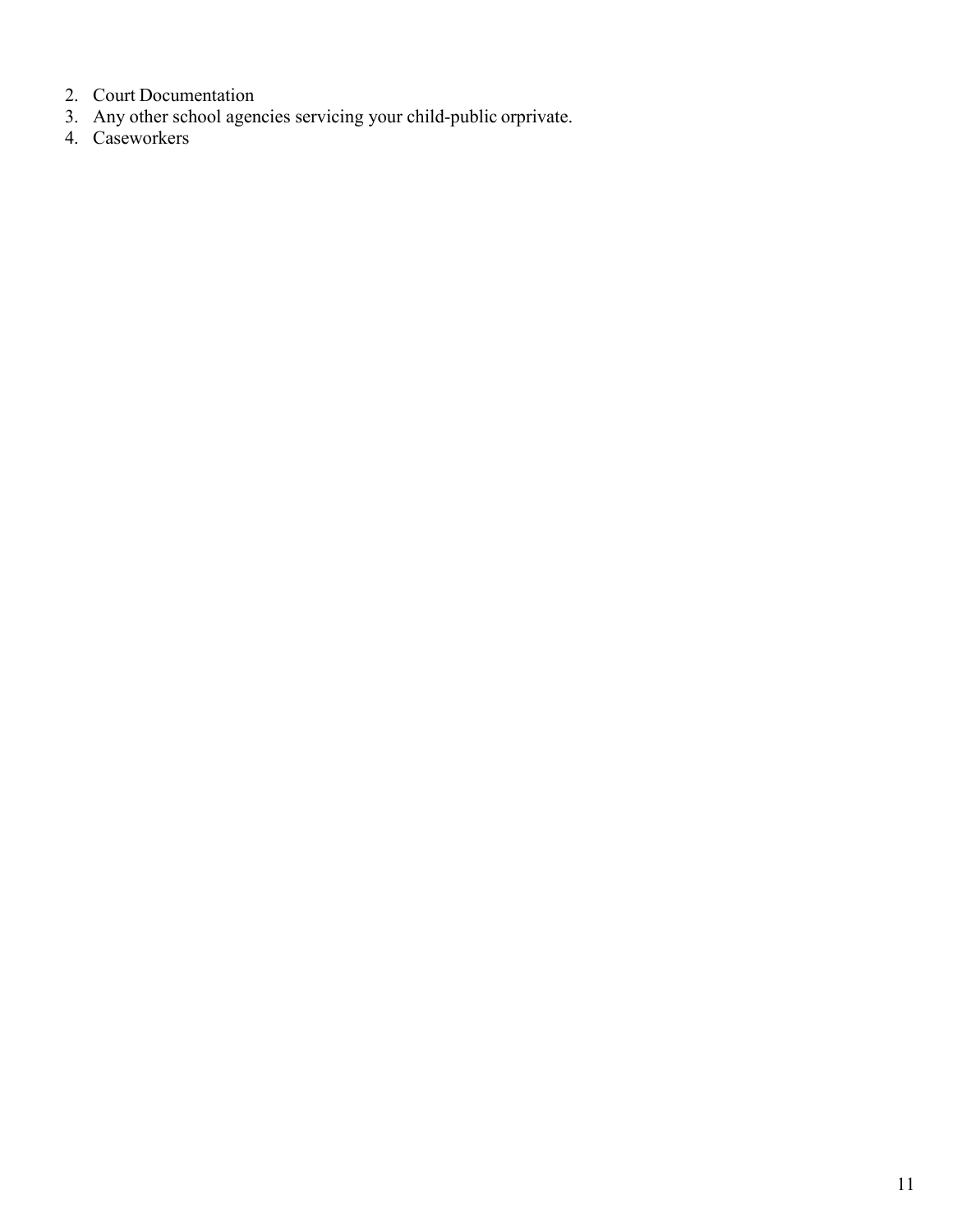- 2. Court Documentation
- 3. Any other school agencies servicing your child-public orprivate.
- 4. Caseworkers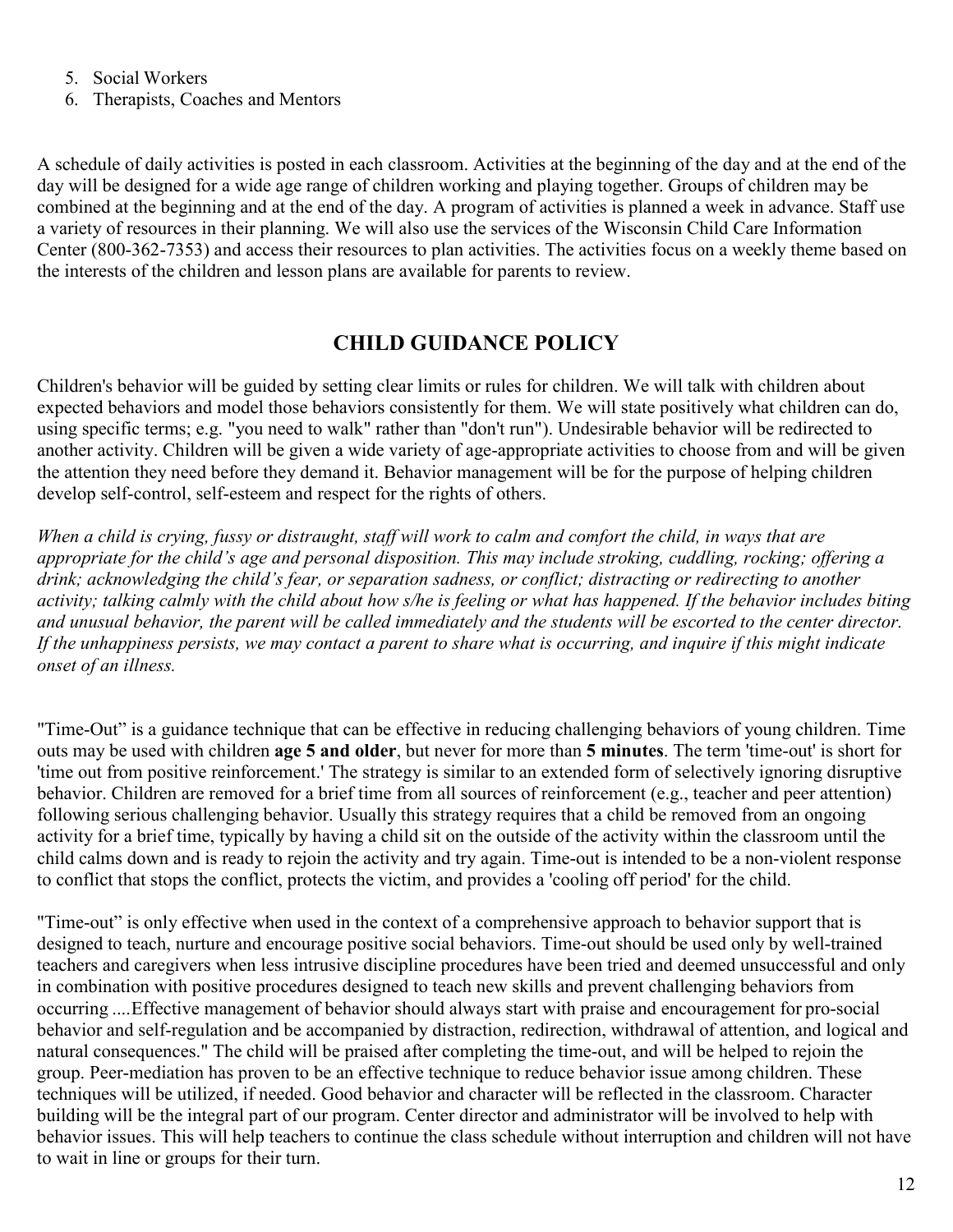5. Social Workers

6. Therapists, Coaches and Mentors

A schedule of daily activities is posted in each classroom. Activities at the beginning of the day and at the end of the day will be designed for a wide age range of children working and playing together. Groups of children may be combined at the beginning and at the end of the day. A program of activities is planned a week in advance. Staff use a variety of resources in their planning. We will also use the services of the Wisconsin Child Care Information Center (800-362-7353) and access their resources to plan activities. The activities focus on a weekly theme based on the interests of the children and lesson plans are available for parents to review.

## **CHILD GUIDANCE POLICY**

Children's behavior will be guided by setting clear limits or rules for children. We will talk with children about expected behaviors and model those behaviors consistently for them. We will state positively what children can do, using specific terms; e.g. "you need to walk" rather than "don't run"). Undesirable behavior will be redirected to another activity. Children will be given a wide variety of age-appropriate activities to choose from and will be given the attention they need before they demand it. Behavior management will be for the purpose of helping children develop self-control, self-esteem and respect for the rights of others.

*When a child is crying, fussy or distraught, staff will work to calm and comfort the child, in ways that are appropriate for the child's age and personal disposition. This may include stroking, cuddling, rocking; offering a drink; acknowledging the child's fear, or separation sadness, or conflict; distracting or redirecting to another activity; talking calmly with the child about how s/he is feeling or what has happened. If the behavior includes biting and unusual behavior, the parent will be called immediately and the students will be escorted to the center director. If the unhappiness persists, we may contact a parent to share what is occurring, and inquire if this might indicate onset of an illness.*

"Time-Out" is a guidance technique that can be effective in reducing challenging behaviors of young children. Time outs may be used with children **age 5 and older**, but never for more than **5 minutes**. The term 'time-out' is short for 'time out from positive reinforcement.' The strategy is similar to an extended form of selectively ignoring disruptive behavior. Children are removed for a brief time from all sources of reinforcement (e.g., teacher and peer attention) following serious challenging behavior. Usually this strategy requires that a child be removed from an ongoing activity for a brief time, typically by having a child sit on the outside of the activity within the classroom until the child calms down and is ready to rejoin the activity and try again. Time-out is intended to be a non-violent response to conflict that stops the conflict, protects the victim, and provides a 'cooling off period' for the child.

"Time-out" is only effective when used in the context of a comprehensive approach to behavior support that is designed to teach, nurture and encourage positive social behaviors. Time-out should be used only by well-trained teachers and caregivers when less intrusive discipline procedures have been tried and deemed unsuccessful and only in combination with positive procedures designed to teach new skills and prevent challenging behaviors from occurring ....Effective management of behavior should always start with praise and encouragement for pro-social behavior and self-regulation and be accompanied by distraction, redirection, withdrawal of attention, and logical and natural consequences." The child will be praised after completing the time-out, and will be helped to rejoin the group. Peer-mediation has proven to be an effective technique to reduce behavior issue among children. These techniques will be utilized, if needed. Good behavior and character will be reflected in the classroom. Character building will be the integral part of our program. Center director and administrator will be involved to help with behavior issues. This will help teachers to continue the class schedule without interruption and children will not have to wait in line or groups for their turn.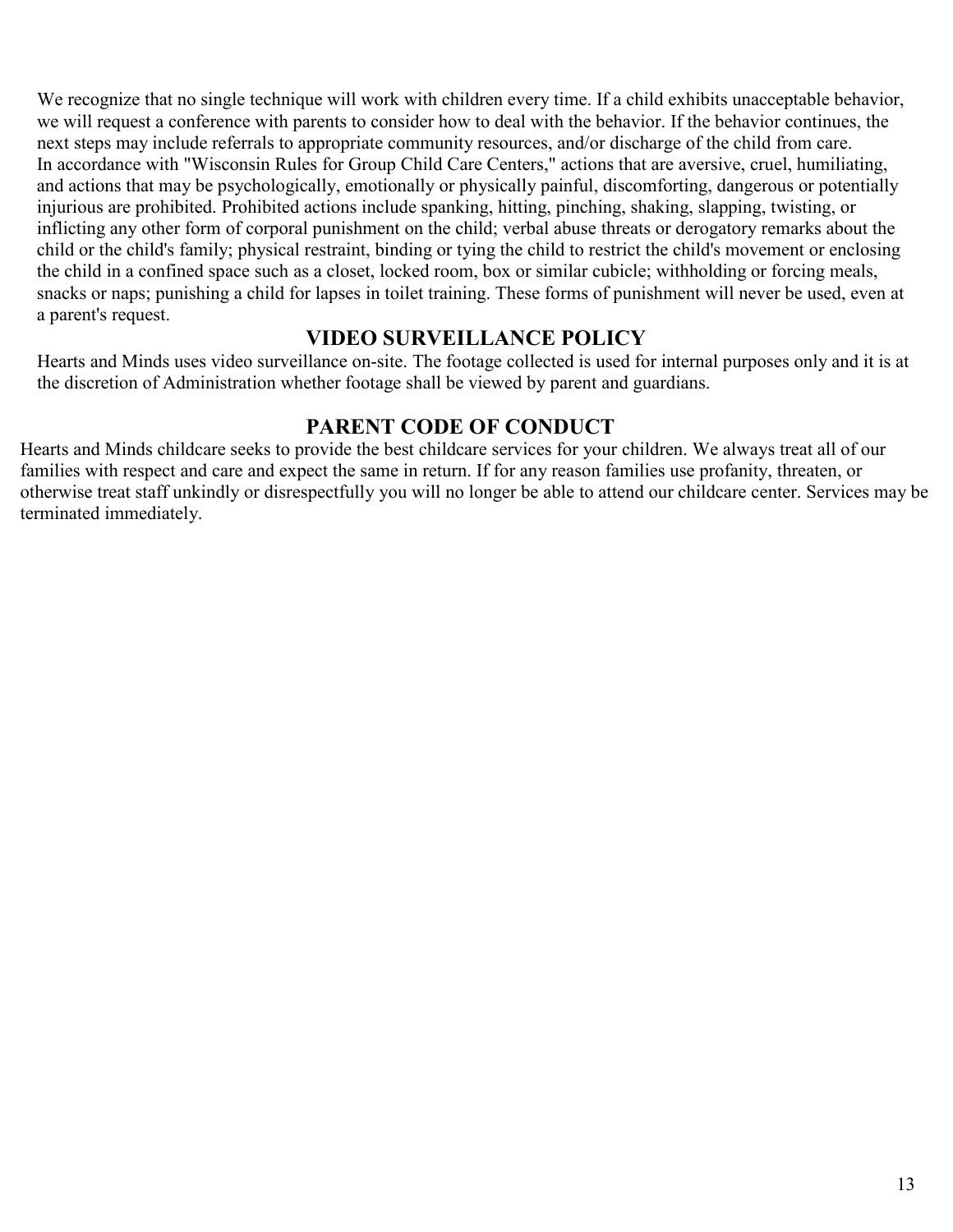We recognize that no single technique will work with children every time. If a child exhibits unacceptable behavior, we will request a conference with parents to consider how to deal with the behavior. If the behavior continues, the next steps may include referrals to appropriate community resources, and/or discharge of the child from care. In accordance with "Wisconsin Rules for Group Child Care Centers," actions that are aversive, cruel, humiliating, and actions that may be psychologically, emotionally or physically painful, discomforting, dangerous or potentially injurious are prohibited. Prohibited actions include spanking, hitting, pinching, shaking, slapping, twisting, or inflicting any other form of corporal punishment on the child; verbal abuse threats or derogatory remarks about the child or the child's family; physical restraint, binding or tying the child to restrict the child's movement or enclosing the child in a confined space such as a closet, locked room, box or similar cubicle; withholding or forcing meals, snacks or naps; punishing a child for lapses in toilet training. These forms of punishment will never be used, even at a parent's request.

#### **VIDEO SURVEILLANCE POLICY**

Hearts and Minds uses video surveillance on-site. The footage collected is used for internal purposes only and it is at the discretion of Administration whether footage shall be viewed by parent and guardians.

### **PARENT CODE OF CONDUCT**

Hearts and Minds childcare seeks to provide the best childcare services for your children. We always treat all of our families with respect and care and expect the same in return. If for any reason families use profanity, threaten, or otherwise treat staff unkindly or disrespectfully you will no longer be able to attend our childcare center. Services may be terminated immediately.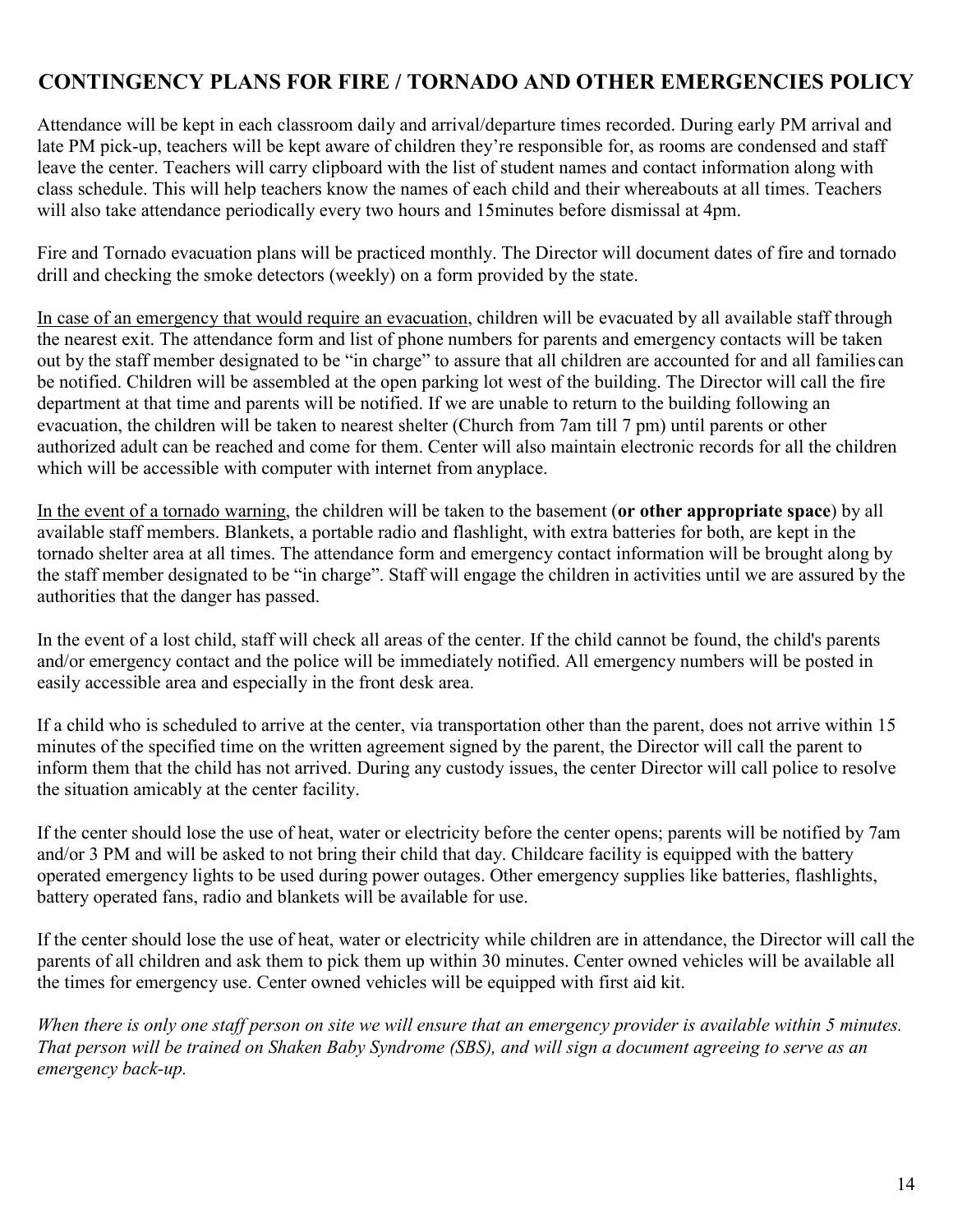## **CONTINGENCY PLANS FOR FIRE / TORNADO AND OTHER EMERGENCIES POLICY**

Attendance will be kept in each classroom daily and arrival/departure times recorded. During early PM arrival and late PM pick-up, teachers will be kept aware of children they're responsible for, as rooms are condensed and staff leave the center. Teachers will carry clipboard with the list of student names and contact information along with class schedule. This will help teachers know the names of each child and their whereabouts at all times. Teachers will also take attendance periodically every two hours and 15minutes before dismissal at 4pm.

Fire and Tornado evacuation plans will be practiced monthly. The Director will document dates of fire and tornado drill and checking the smoke detectors (weekly) on a form provided by the state.

In case of an emergency that would require an evacuation, children will be evacuated by all available staff through the nearest exit. The attendance form and list of phone numbers for parents and emergency contacts will be taken out by the staff member designated to be "in charge" to assure that all children are accounted for and all families can be notified. Children will be assembled at the open parking lot west of the building. The Director will call the fire department at that time and parents will be notified. If we are unable to return to the building following an evacuation, the children will be taken to nearest shelter (Church from 7am till 7 pm) until parents or other authorized adult can be reached and come for them. Center will also maintain electronic records for all the children which will be accessible with computer with internet from anyplace.

In the event of a tornado warning, the children will be taken to the basement (**or other appropriate space**) by all available staff members. Blankets, a portable radio and flashlight, with extra batteries for both, are kept in the tornado shelter area at all times. The attendance form and emergency contact information will be brought along by the staff member designated to be "in charge". Staff will engage the children in activities until we are assured by the authorities that the danger has passed.

In the event of a lost child, staff will check all areas of the center. If the child cannot be found, the child's parents and/or emergency contact and the police will be immediately notified. All emergency numbers will be posted in easily accessible area and especially in the front desk area.

If a child who is scheduled to arrive at the center, via transportation other than the parent, does not arrive within 15 minutes of the specified time on the written agreement signed by the parent, the Director will call the parent to inform them that the child has not arrived. During any custody issues, the center Director will call police to resolve the situation amicably at the center facility.

If the center should lose the use of heat, water or electricity before the center opens; parents will be notified by 7am and/or 3 PM and will be asked to not bring their child that day. Childcare facility is equipped with the battery operated emergency lights to be used during power outages. Other emergency supplies like batteries, flashlights, battery operated fans, radio and blankets will be available for use.

If the center should lose the use of heat, water or electricity while children are in attendance, the Director will call the parents of all children and ask them to pick them up within 30 minutes. Center owned vehicles will be available all the times for emergency use. Center owned vehicles will be equipped with first aid kit.

When there is only one staff person on site we will ensure that an emergency provider is available within 5 minutes. *That person will be trained on Shaken Baby Syndrome (SBS), and will sign a document agreeing to serve as an emergency back-up.*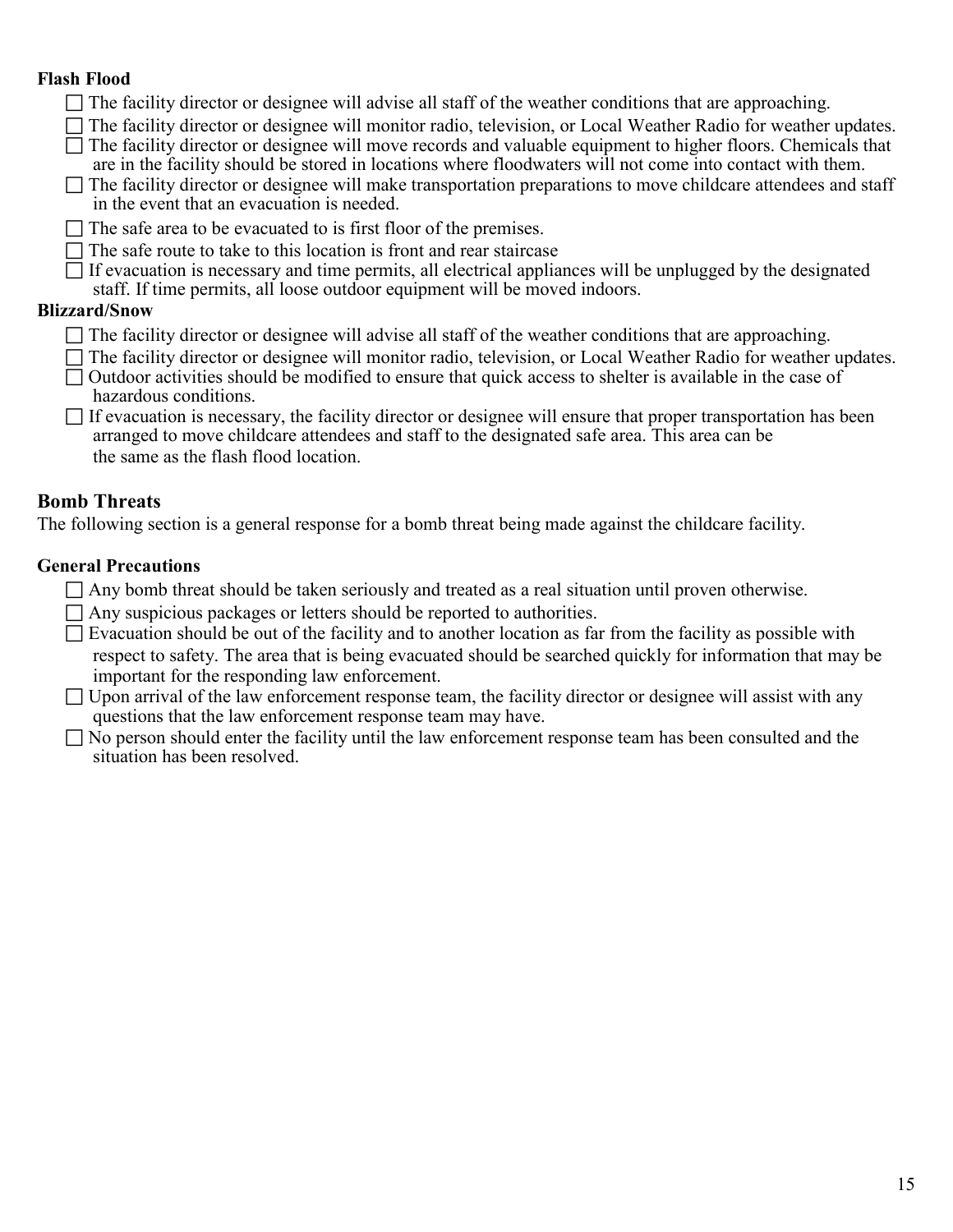#### **Flash Flood**

- $\Box$  The facility director or designee will advise all staff of the weather conditions that are approaching.
- The facility director or designee will monitor radio, television, or Local Weather Radio for weather updates.  $\Box$  The facility director or designee will move records and valuable equipment to higher floors. Chemicals that
- are in the facility should be stored in locations where floodwaters will not come into contact with them.
- $\Box$  The facility director or designee will make transportation preparations to move childcare attendees and staff in the event that an evacuation is needed.
- $\Box$  The safe area to be evacuated to is first floor of the premises.
- $\Box$  The safe route to take to this location is front and rear staircase
- $\Box$  If evacuation is necessary and time permits, all electrical appliances will be unplugged by the designated staff. If time permits, all loose outdoor equipment will be moved indoors.

#### **Blizzard/Snow**

- $\Box$  The facility director or designee will advise all staff of the weather conditions that are approaching.
- The facility director or designee will monitor radio, television, or Local Weather Radio for weather updates.
- $\Box$  Outdoor activities should be modified to ensure that quick access to shelter is available in the case of hazardous conditions.

| $\Box$ If evacuation is necessary, the facility director or designee will ensure that proper transportation has been |
|----------------------------------------------------------------------------------------------------------------------|
| arranged to move childcare attendees and staff to the designated safe area. This area can be                         |
| the same as the flash flood location.                                                                                |

#### **Bomb Threats**

The following section is a general response for a bomb threat being made against the childcare facility.

#### **General Precautions**

- $\Box$  Any bomb threat should be taken seriously and treated as a real situation until proven otherwise.
- $\Box$  Any suspicious packages or letters should be reported to authorities.
- $\Box$  Evacuation should be out of the facility and to another location as far from the facility as possible with respect to safety. The area that is being evacuated should be searched quickly for information that may be important for the responding law enforcement.
- $\Box$  Upon arrival of the law enforcement response team, the facility director or designee will assist with any questions that the law enforcement response team may have.
- $\Box$  No person should enter the facility until the law enforcement response team has been consulted and the situation has been resolved.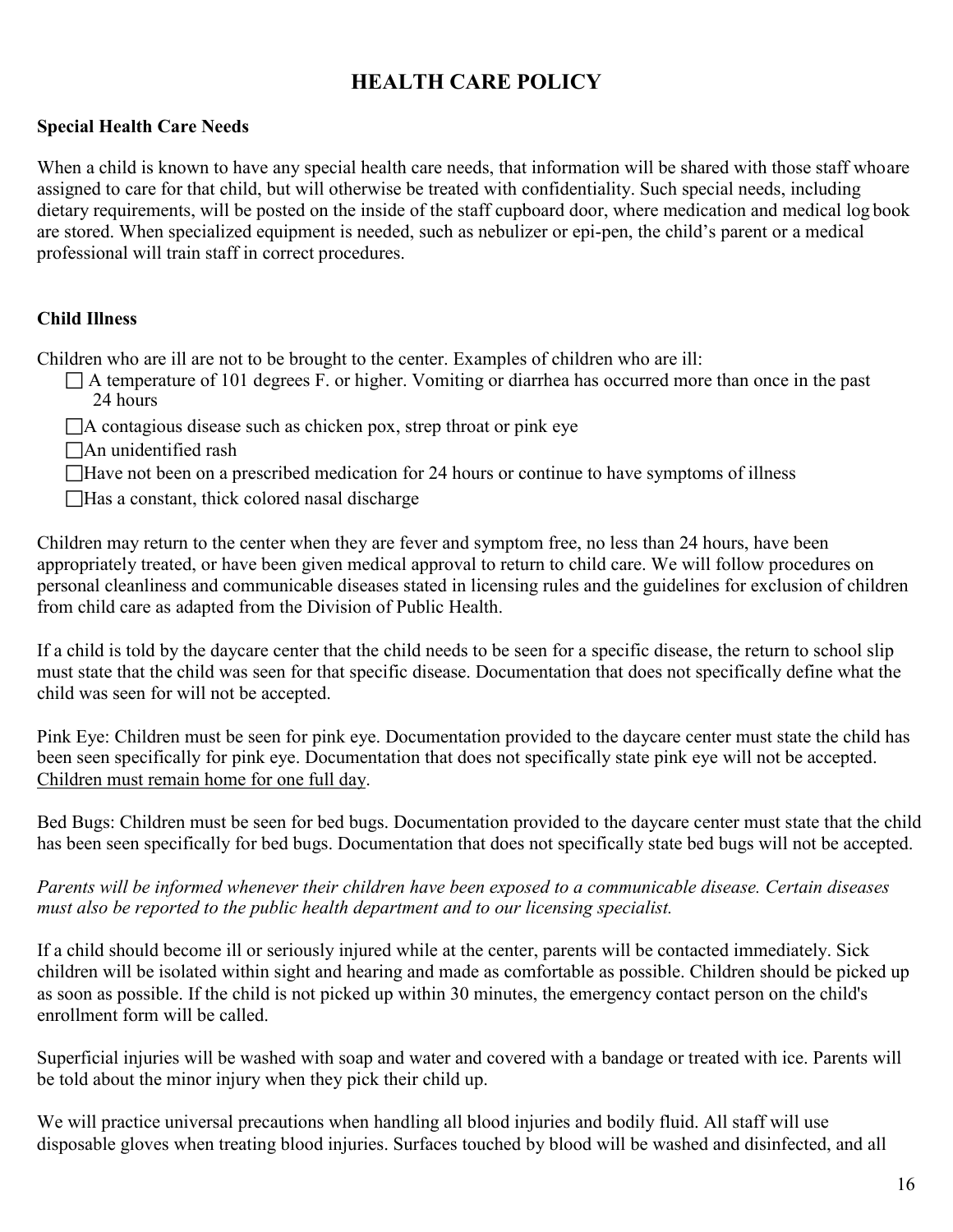## **HEALTH CARE POLICY**

#### **Special Health Care Needs**

When a child is known to have any special health care needs, that information will be shared with those staff whoare assigned to care for that child, but will otherwise be treated with confidentiality. Such special needs, including dietary requirements, will be posted on the inside of the staff cupboard door, where medication and medical log book are stored. When specialized equipment is needed, such as nebulizer or epi-pen, the child's parent or a medical professional will train staff in correct procedures.

#### **Child Illness**

Children who are ill are not to be brought to the center. Examples of children who are ill:

 $\Box$  A temperature of 101 degrees F. or higher. Vomiting or diarrhea has occurred more than once in the past 24 hours

 $\Box$  A contagious disease such as chicken pox, strep throat or pink eye

- An unidentified rash
- □Have not been on a prescribed medication for 24 hours or continue to have symptoms of illness
- Has a constant, thick colored nasal discharge

Children may return to the center when they are fever and symptom free, no less than 24 hours, have been appropriately treated, or have been given medical approval to return to child care. We will follow procedures on personal cleanliness and communicable diseases stated in licensing rules and the guidelines for exclusion of children from child care as adapted from the Division of Public Health.

If a child is told by the daycare center that the child needs to be seen for a specific disease, the return to school slip must state that the child was seen for that specific disease. Documentation that does not specifically define what the child was seen for will not be accepted.

Pink Eye: Children must be seen for pink eye. Documentation provided to the daycare center must state the child has been seen specifically for pink eye. Documentation that does not specifically state pink eye will not be accepted. Children must remain home for one full day.

Bed Bugs: Children must be seen for bed bugs. Documentation provided to the daycare center must state that the child has been seen specifically for bed bugs. Documentation that does not specifically state bed bugs will not be accepted.

#### *Parents will be informed whenever their children have been exposed to a communicable disease. Certain diseases must also be reported to the public health department and to our licensing specialist.*

If a child should become ill or seriously injured while at the center, parents will be contacted immediately. Sick children will be isolated within sight and hearing and made as comfortable as possible. Children should be picked up as soon as possible. If the child is not picked up within 30 minutes, the emergency contact person on the child's enrollment form will be called.

Superficial injuries will be washed with soap and water and covered with a bandage or treated with ice. Parents will be told about the minor injury when they pick their child up.

We will practice universal precautions when handling all blood injuries and bodily fluid. All staff will use disposable gloves when treating blood injuries. Surfaces touched by blood will be washed and disinfected, and all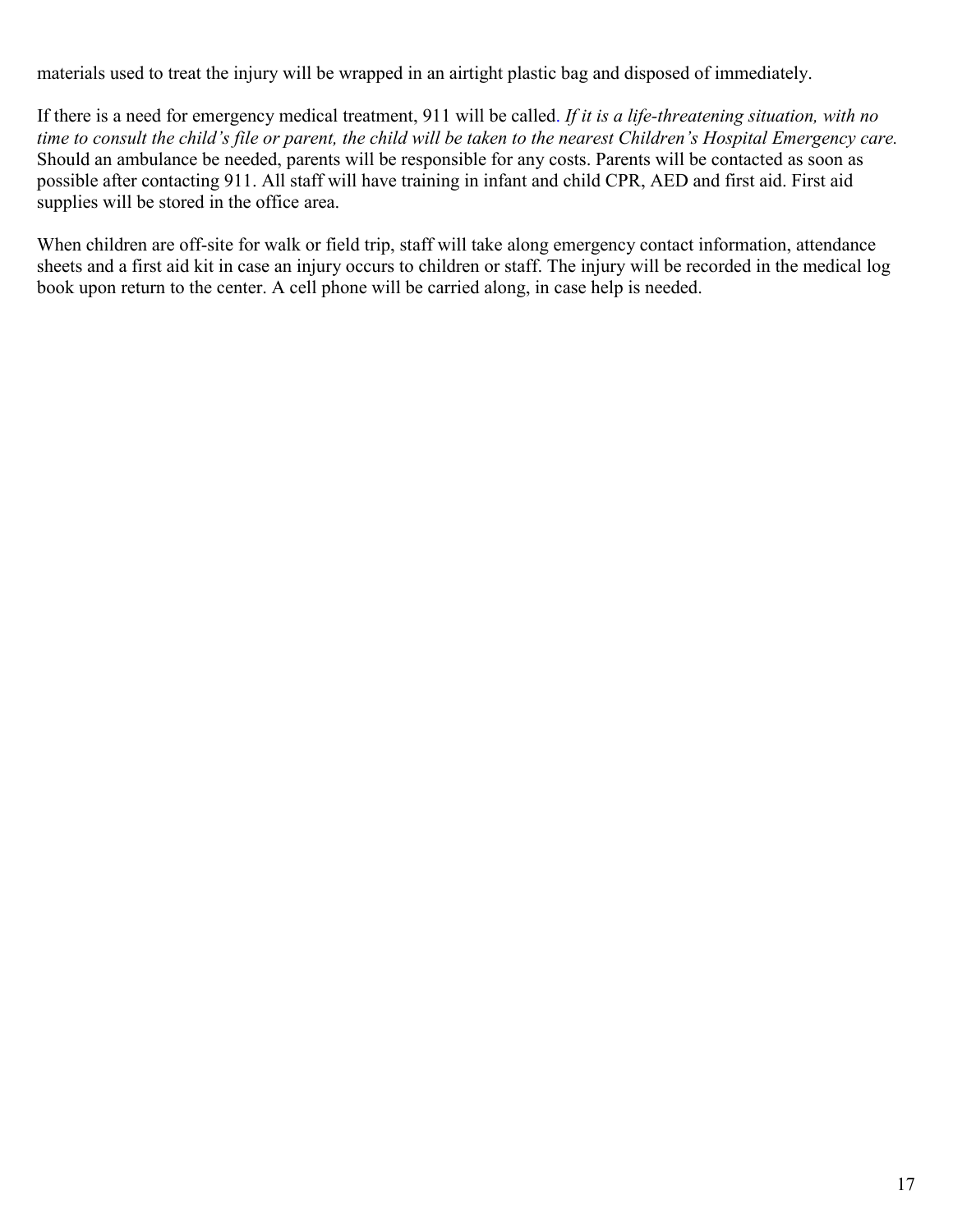materials used to treat the injury will be wrapped in an airtight plastic bag and disposed of immediately.

If there is a need for emergency medical treatment, 911 will be called. *If it is a life-threatening situation, with no time to consult the child's file or parent, the child will be taken to the nearest Children's Hospital Emergency care.*  Should an ambulance be needed, parents will be responsible for any costs. Parents will be contacted as soon as possible after contacting 911. All staff will have training in infant and child CPR, AED and first aid. First aid supplies will be stored in the office area.

When children are off-site for walk or field trip, staff will take along emergency contact information, attendance sheets and a first aid kit in case an injury occurs to children or staff. The injury will be recorded in the medical log book upon return to the center. A cell phone will be carried along, in case help is needed.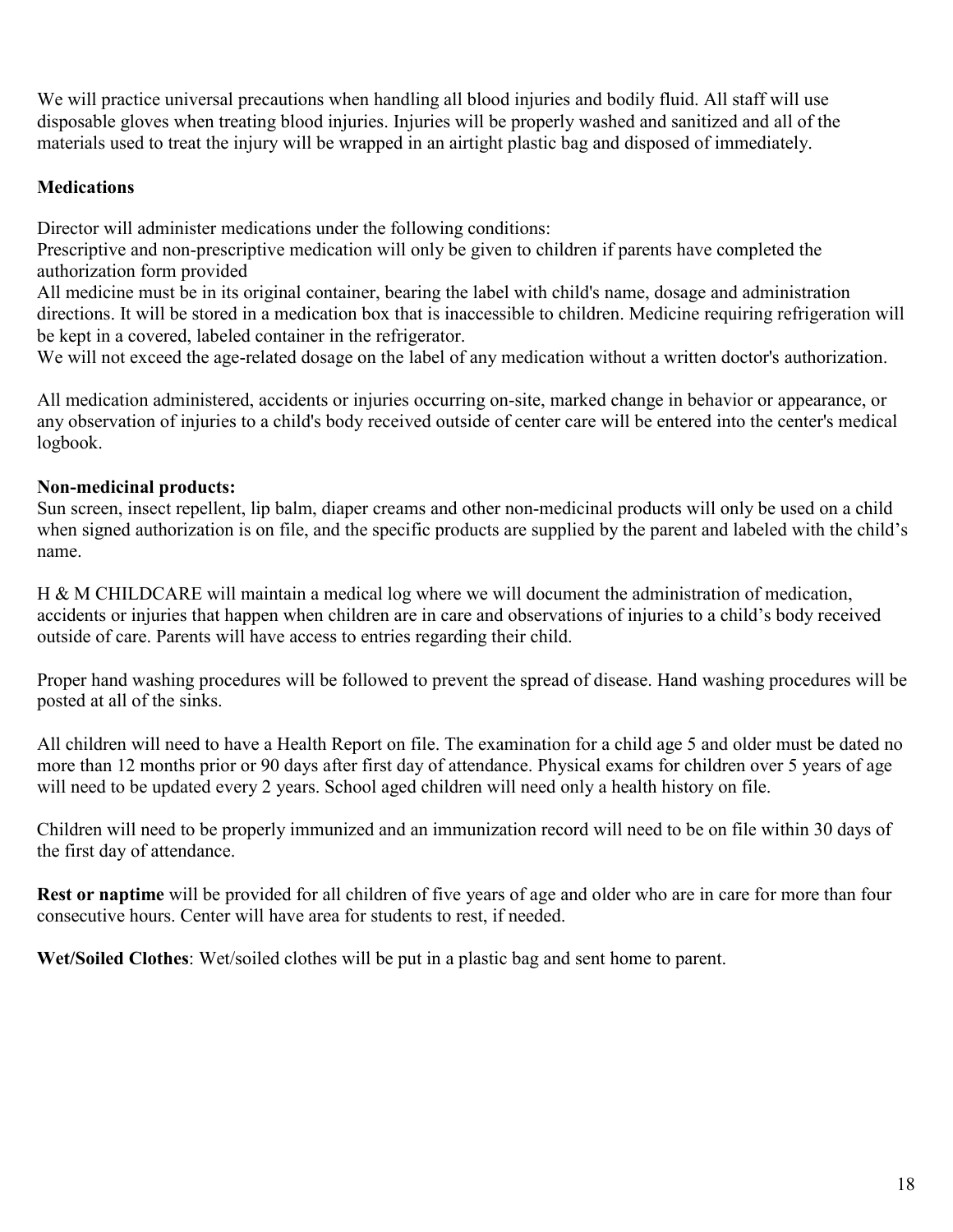We will practice universal precautions when handling all blood injuries and bodily fluid. All staff will use disposable gloves when treating blood injuries. Injuries will be properly washed and sanitized and all of the materials used to treat the injury will be wrapped in an airtight plastic bag and disposed of immediately.

#### **Medications**

Director will administer medications under the following conditions:

Prescriptive and non-prescriptive medication will only be given to children if parents have completed the authorization form provided

All medicine must be in its original container, bearing the label with child's name, dosage and administration directions. It will be stored in a medication box that is inaccessible to children. Medicine requiring refrigeration will be kept in a covered, labeled container in the refrigerator.

We will not exceed the age-related dosage on the label of any medication without a written doctor's authorization.

All medication administered, accidents or injuries occurring on-site, marked change in behavior or appearance, or any observation of injuries to a child's body received outside of center care will be entered into the center's medical logbook.

#### **Non-medicinal products:**

Sun screen, insect repellent, lip balm, diaper creams and other non-medicinal products will only be used on a child when signed authorization is on file, and the specific products are supplied by the parent and labeled with the child's name.

H & M CHILDCARE will maintain a medical log where we will document the administration of medication, accidents or injuries that happen when children are in care and observations of injuries to a child's body received outside of care. Parents will have access to entries regarding their child.

Proper hand washing procedures will be followed to prevent the spread of disease. Hand washing procedures will be posted at all of the sinks.

All children will need to have a Health Report on file. The examination for a child age 5 and older must be dated no more than 12 months prior or 90 days after first day of attendance. Physical exams for children over 5 years of age will need to be updated every 2 years. School aged children will need only a health history on file.

Children will need to be properly immunized and an immunization record will need to be on file within 30 days of the first day of attendance.

**Rest or naptime** will be provided for all children of five years of age and older who are in care for more than four consecutive hours. Center will have area for students to rest, if needed.

**Wet/Soiled Clothes**: Wet/soiled clothes will be put in a plastic bag and sent home to parent.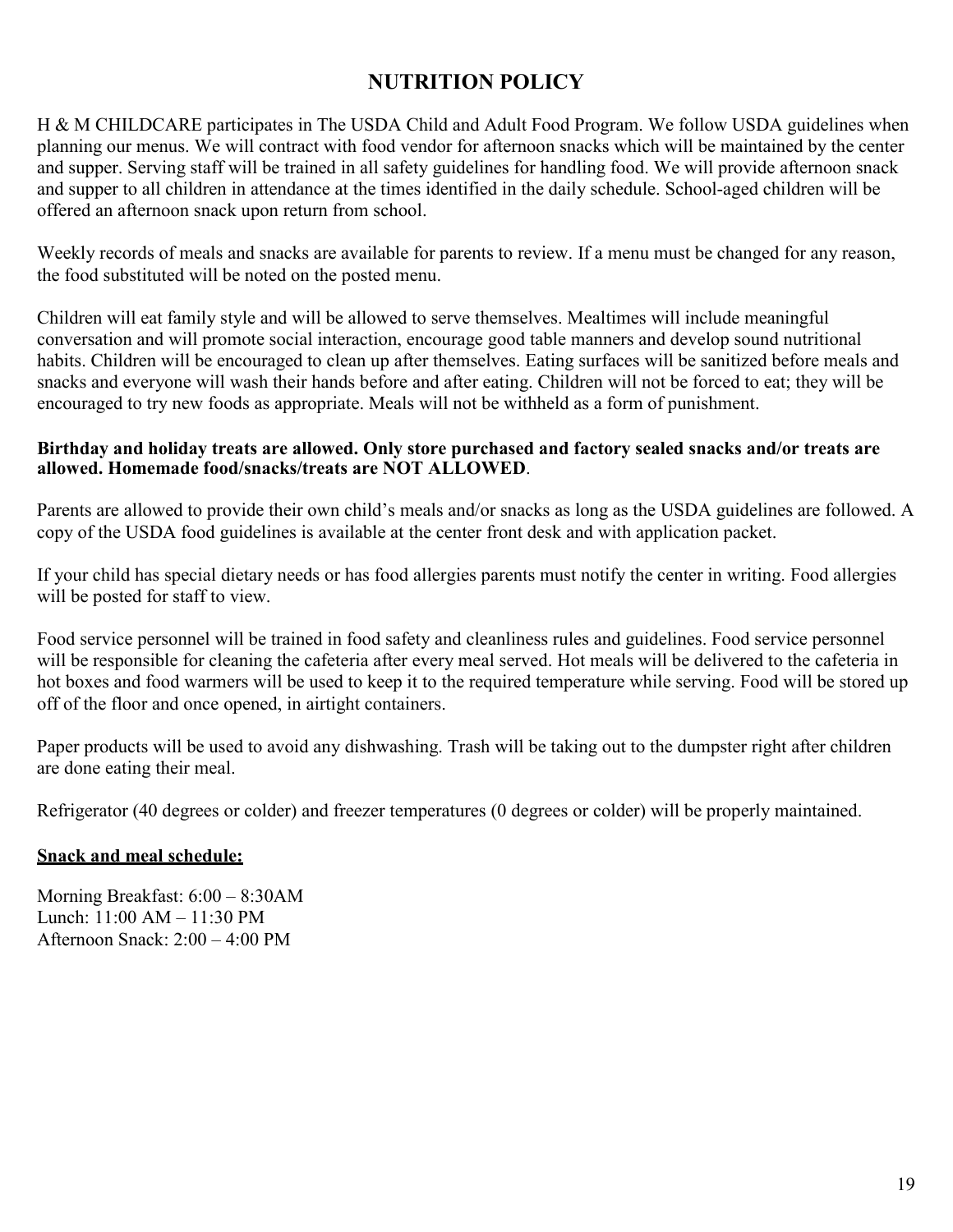## **NUTRITION POLICY**

H & M CHILDCARE participates in The USDA Child and Adult Food Program. We follow USDA guidelines when planning our menus. We will contract with food vendor for afternoon snacks which will be maintained by the center and supper. Serving staff will be trained in all safety guidelines for handling food. We will provide afternoon snack and supper to all children in attendance at the times identified in the daily schedule. School-aged children will be offered an afternoon snack upon return from school.

Weekly records of meals and snacks are available for parents to review. If a menu must be changed for any reason, the food substituted will be noted on the posted menu.

Children will eat family style and will be allowed to serve themselves. Mealtimes will include meaningful conversation and will promote social interaction, encourage good table manners and develop sound nutritional habits. Children will be encouraged to clean up after themselves. Eating surfaces will be sanitized before meals and snacks and everyone will wash their hands before and after eating. Children will not be forced to eat; they will be encouraged to try new foods as appropriate. Meals will not be withheld as a form of punishment.

#### **Birthday and holiday treats are allowed. Only store purchased and factory sealed snacks and/or treats are allowed. Homemade food/snacks/treats are NOT ALLOWED**.

Parents are allowed to provide their own child's meals and/or snacks as long as the USDA guidelines are followed. A copy of the USDA food guidelines is available at the center front desk and with application packet.

If your child has special dietary needs or has food allergies parents must notify the center in writing. Food allergies will be posted for staff to view.

Food service personnel will be trained in food safety and cleanliness rules and guidelines. Food service personnel will be responsible for cleaning the cafeteria after every meal served. Hot meals will be delivered to the cafeteria in hot boxes and food warmers will be used to keep it to the required temperature while serving. Food will be stored up off of the floor and once opened, in airtight containers.

Paper products will be used to avoid any dishwashing. Trash will be taking out to the dumpster right after children are done eating their meal.

Refrigerator (40 degrees or colder) and freezer temperatures (0 degrees or colder) will be properly maintained.

#### **Snack and meal schedule:**

Morning Breakfast: 6:00 – 8:30AM Lunch: 11:00 AM – 11:30 PM Afternoon Snack: 2:00 – 4:00 PM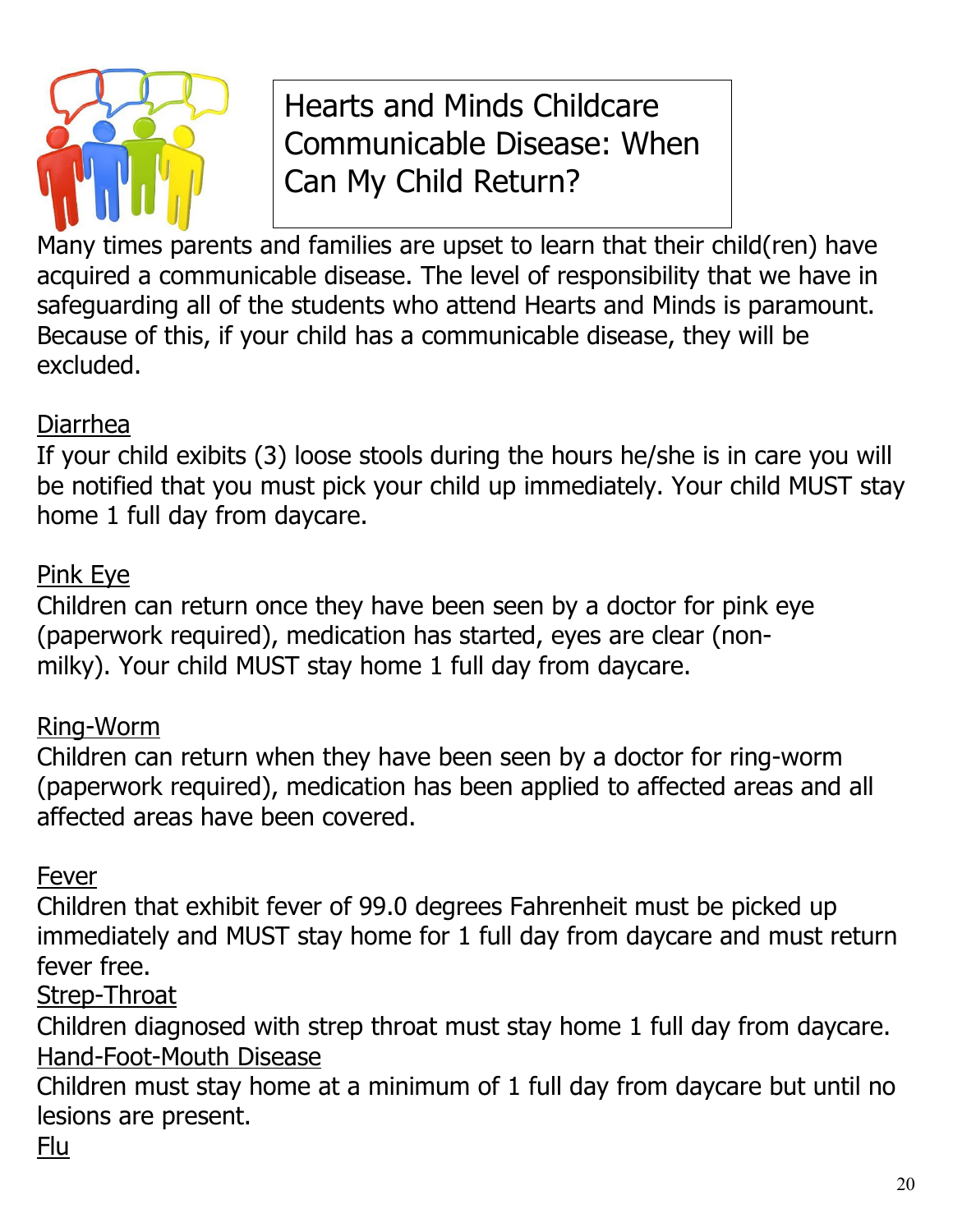

# Hearts and Minds Childcare Communicable Disease: When Can My Child Return?

Many times parents and families are upset to learn that their child(ren) have acquired a communicable disease. The level of responsibility that we have in safeguarding all of the students who attend Hearts and Minds is paramount. Because of this, if your child has a communicable disease, they will be excluded.

## Diarrhea

If your child exibits (3) loose stools during the hours he/she is in care you will be notified that you must pick your child up immediately. Your child MUST stay home 1 full day from daycare.

# Pink Eye

Children can return once they have been seen by a doctor for pink eye (paperwork required), medication has started, eyes are clear (nonmilky). Your child MUST stay home 1 full day from daycare.

# Ring-Worm

Children can return when they have been seen by a doctor for ring-worm (paperwork required), medication has been applied to affected areas and all affected areas have been covered.

## Fever

Children that exhibit fever of 99.0 degrees Fahrenheit must be picked up immediately and MUST stay home for 1 full day from daycare and must return fever free.

## Strep-Throat

Children diagnosed with strep throat must stay home 1 full day from daycare. Hand-Foot-Mouth Disease

Children must stay home at a minimum of 1 full day from daycare but until no lesions are present.

## Flu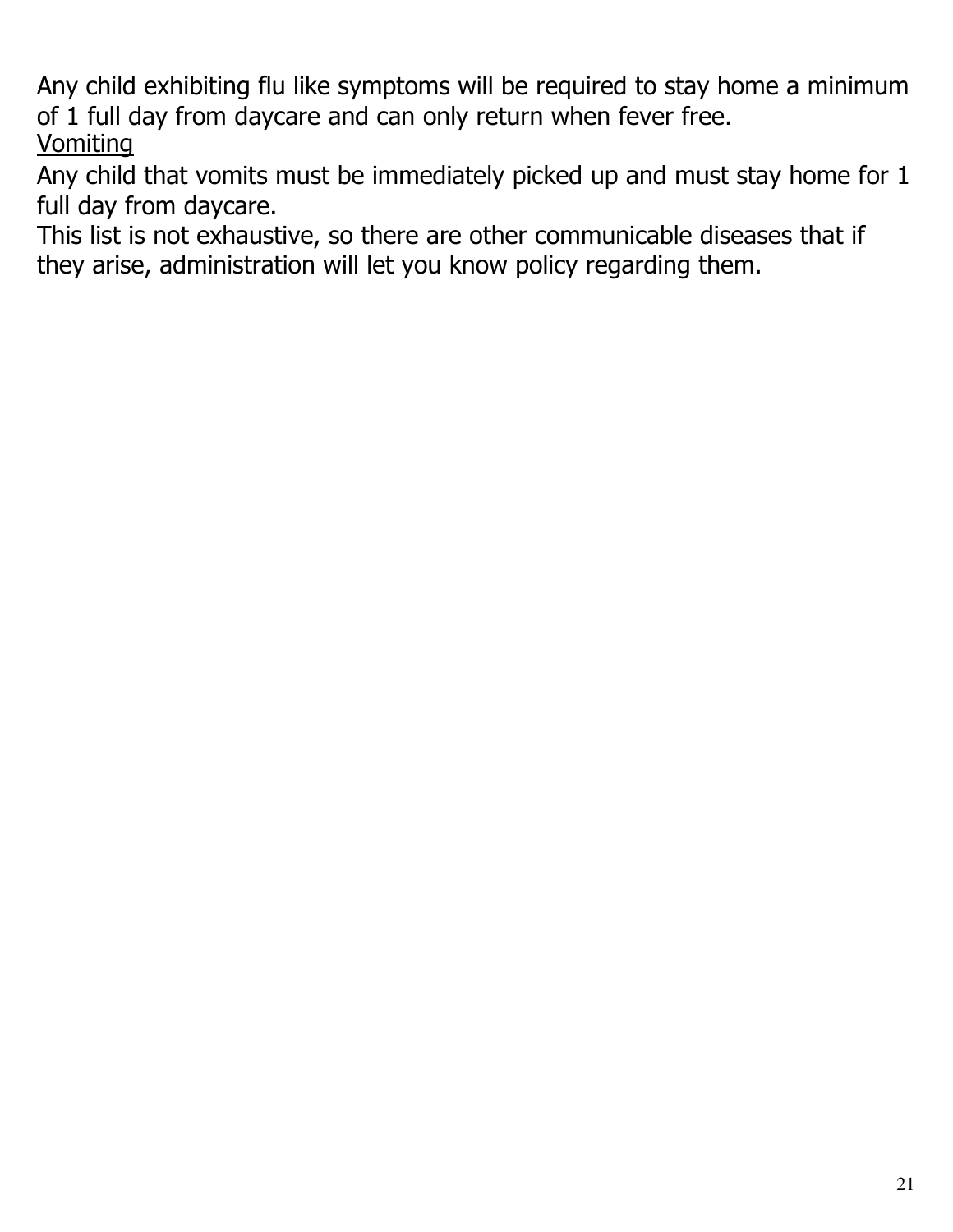Any child exhibiting flu like symptoms will be required to stay home a minimum of 1 full day from daycare and can only return when fever free. **Vomiting** 

Any child that vomits must be immediately picked up and must stay home for 1 full day from daycare.

This list is not exhaustive, so there are other communicable diseases that if they arise, administration will let you know policy regarding them.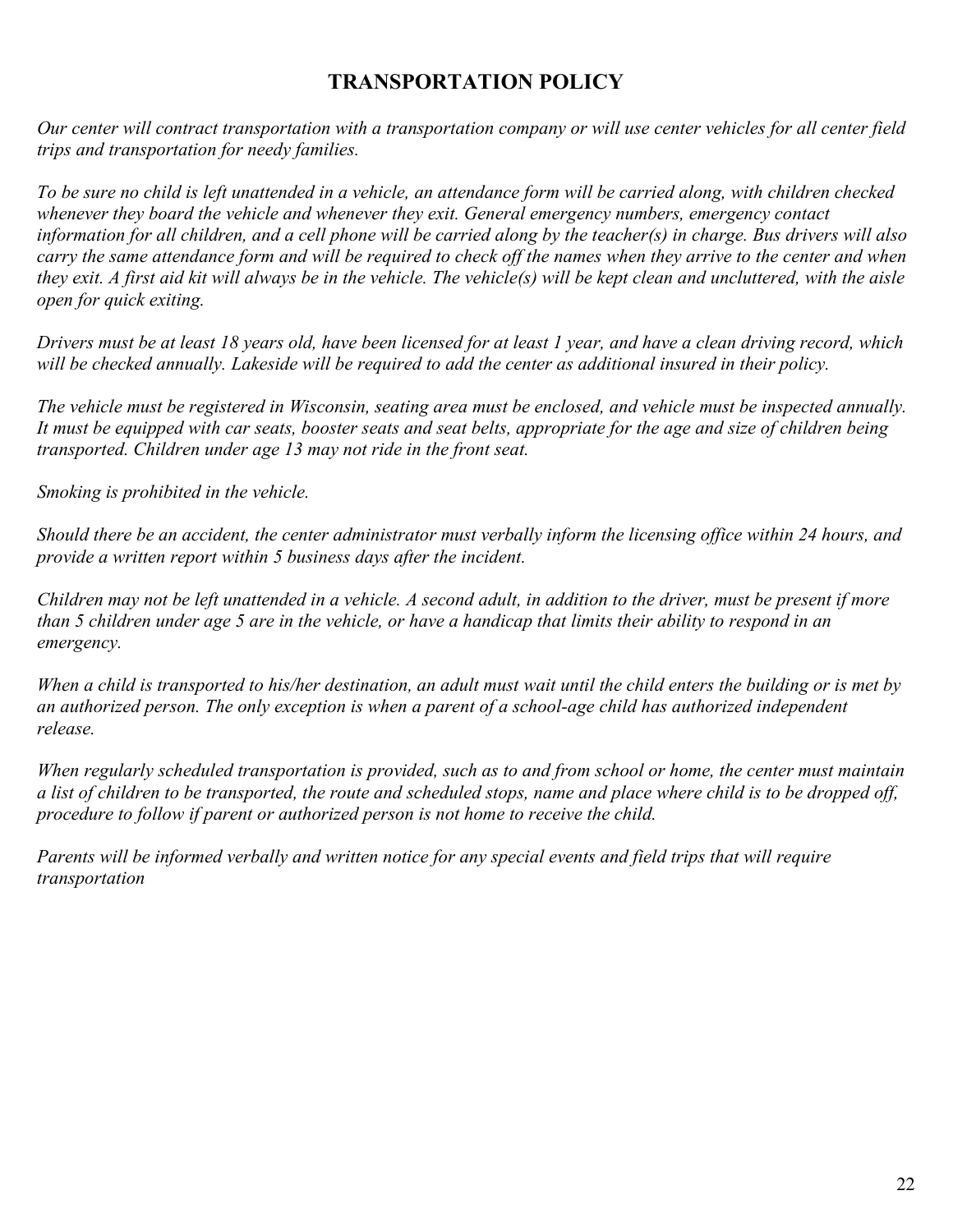## **TRANSPORTATION POLICY**

*Our center will contract transportation with a transportation company or will use center vehicles for all center field trips and transportation for needy families.*

*To be sure no child is left unattended in a vehicle, an attendance form will be carried along, with children checked whenever they board the vehicle and whenever they exit. General emergency numbers, emergency contact information for all children, and a cell phone will be carried along by the teacher(s) in charge. Bus drivers will also carry the same attendance form and will be required to check off the names when they arrive to the center and when they exit. A first aid kit will always be in the vehicle. The vehicle(s) will be kept clean and uncluttered, with the aisle open for quick exiting.*

*Drivers must be at least 18 years old, have been licensed for at least 1 year, and have a clean driving record, which will be checked annually. Lakeside will be required to add the center as additional insured in their policy.*

*The vehicle must be registered in Wisconsin, seating area must be enclosed, and vehicle must be inspected annually. It must be equipped with car seats, booster seats and seat belts, appropriate for the age and size of children being transported. Children under age 13 may not ride in the front seat.*

*Smoking is prohibited in the vehicle.*

*Should there be an accident, the center administrator must verbally inform the licensing office within 24 hours, and provide a written report within 5 business days after the incident.*

*Children may not be left unattended in a vehicle. A second adult, in addition to the driver, must be present if more than 5 children under age 5 are in the vehicle, or have a handicap that limits their ability to respond in an emergency.*

*When a child is transported to his/her destination, an adult must wait until the child enters the building or is met by an authorized person. The only exception is when a parent of a school-age child has authorized independent release.*

*When regularly scheduled transportation is provided, such as to and from school or home, the center must maintain a list of children to be transported, the route and scheduled stops, name and place where child is to be dropped off, procedure to follow if parent or authorized person is not home to receive the child.*

*Parents will be informed verbally and written notice for any special events and field trips that will require transportation*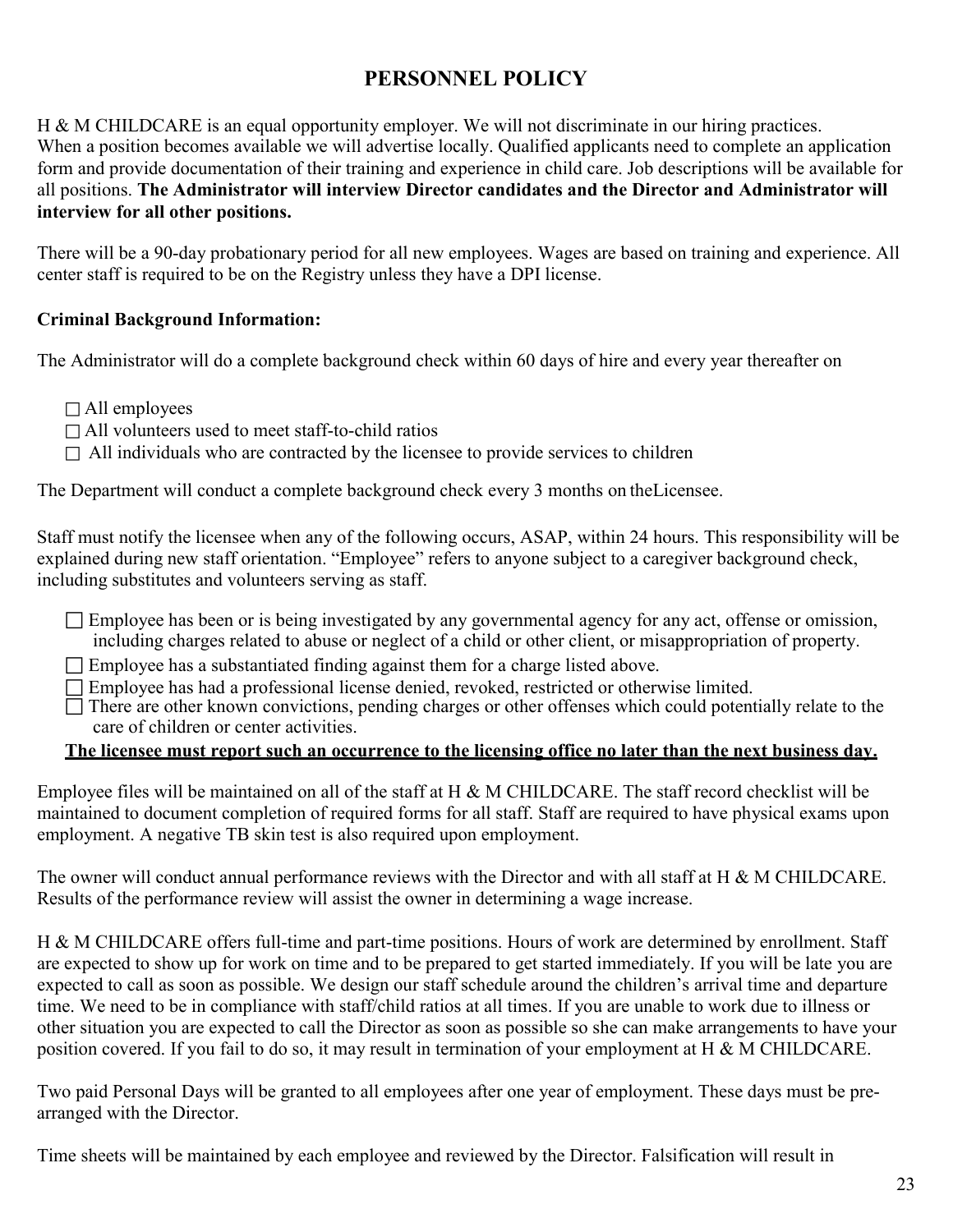## **PERSONNEL POLICY**

H & M CHILDCARE is an equal opportunity employer. We will not discriminate in our hiring practices. When a position becomes available we will advertise locally. Qualified applicants need to complete an application form and provide documentation of their training and experience in child care. Job descriptions will be available for all positions. **The Administrator will interview Director candidates and the Director and Administrator will interview for all other positions.**

There will be a 90-day probationary period for all new employees. Wages are based on training and experience. All center staff is required to be on the Registry unless they have a DPI license.

#### **Criminal Background Information:**

The Administrator will do a complete background check within 60 days of hire and every year thereafter on

- All employees
- $\Box$  All volunteers used to meet staff-to-child ratios
- $\Box$  All individuals who are contracted by the licensee to provide services to children

The Department will conduct a complete background check every 3 months on theLicensee.

Staff must notify the licensee when any of the following occurs, ASAP, within 24 hours. This responsibility will be explained during new staff orientation. "Employee" refers to anyone subject to a caregiver background check, including substitutes and volunteers serving as staff.

- $\Box$  Employee has been or is being investigated by any governmental agency for any act, offense or omission, including charges related to abuse or neglect of a child or other client, or misappropriation of property.
- $\Box$  Employee has a substantiated finding against them for a charge listed above.
- Employee has had a professional license denied, revoked, restricted or otherwise limited.
- $\Box$  There are other known convictions, pending charges or other offenses which could potentially relate to the care of children or center activities.

#### **The licensee must report such an occurrence to the licensing office no later than the next business day.**

Employee files will be maintained on all of the staff at H & M CHILDCARE. The staff record checklist will be maintained to document completion of required forms for all staff. Staff are required to have physical exams upon employment. A negative TB skin test is also required upon employment.

The owner will conduct annual performance reviews with the Director and with all staff at H & M CHILDCARE. Results of the performance review will assist the owner in determining a wage increase.

H & M CHILDCARE offers full-time and part-time positions. Hours of work are determined by enrollment. Staff are expected to show up for work on time and to be prepared to get started immediately. If you will be late you are expected to call as soon as possible. We design our staff schedule around the children's arrival time and departure time. We need to be in compliance with staff/child ratios at all times. If you are unable to work due to illness or other situation you are expected to call the Director as soon as possible so she can make arrangements to have your position covered. If you fail to do so, it may result in termination of your employment at H & M CHILDCARE.

Two paid Personal Days will be granted to all employees after one year of employment. These days must be prearranged with the Director.

Time sheets will be maintained by each employee and reviewed by the Director. Falsification will result in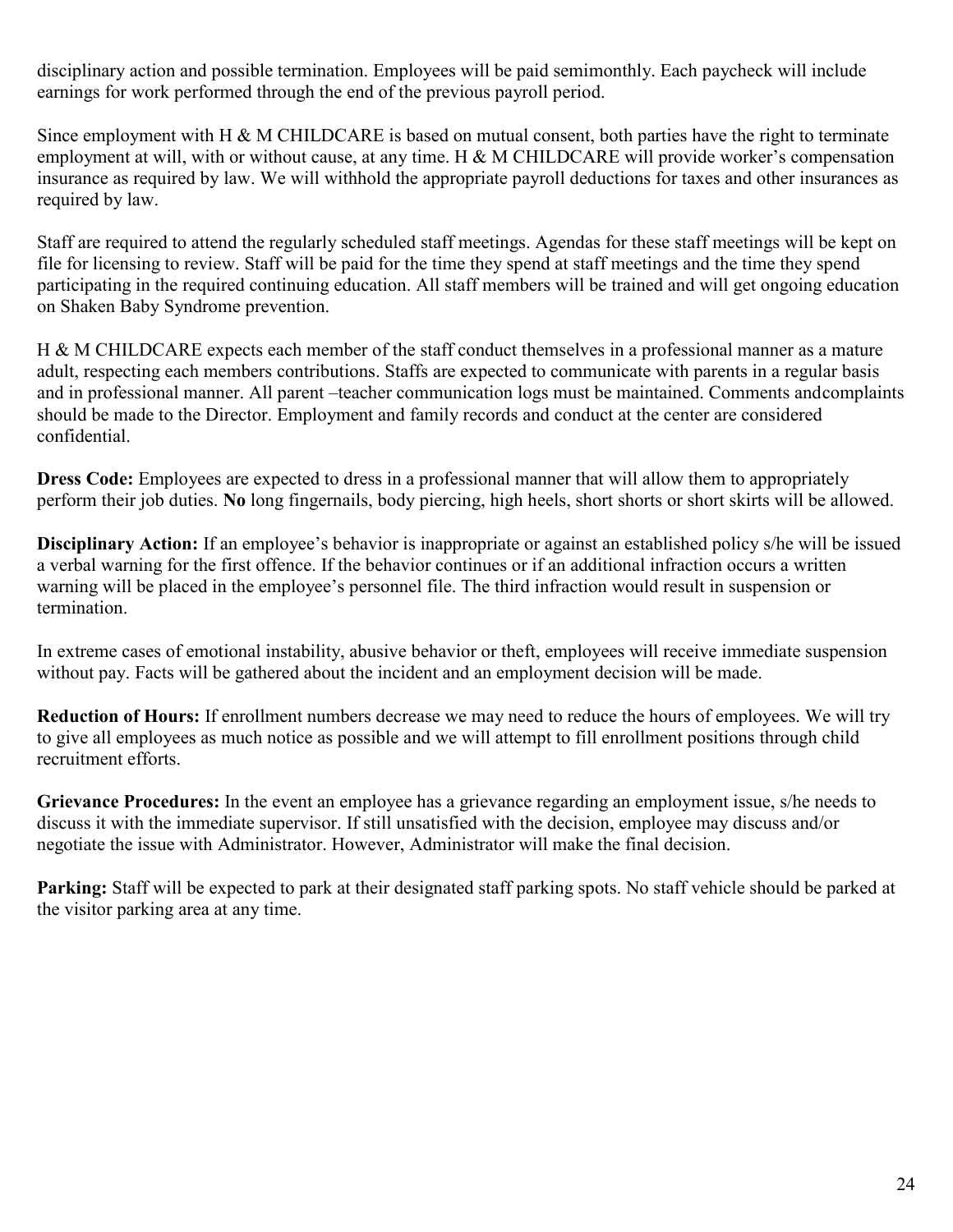disciplinary action and possible termination. Employees will be paid semimonthly. Each paycheck will include earnings for work performed through the end of the previous payroll period.

Since employment with H & M CHILDCARE is based on mutual consent, both parties have the right to terminate employment at will, with or without cause, at any time. H & M CHILDCARE will provide worker's compensation insurance as required by law. We will withhold the appropriate payroll deductions for taxes and other insurances as required by law.

Staff are required to attend the regularly scheduled staff meetings. Agendas for these staff meetings will be kept on file for licensing to review. Staff will be paid for the time they spend at staff meetings and the time they spend participating in the required continuing education. All staff members will be trained and will get ongoing education on Shaken Baby Syndrome prevention.

H & M CHILDCARE expects each member of the staff conduct themselves in a professional manner as a mature adult, respecting each members contributions. Staffs are expected to communicate with parents in a regular basis and in professional manner. All parent –teacher communication logs must be maintained. Comments andcomplaints should be made to the Director. Employment and family records and conduct at the center are considered confidential.

**Dress Code:** Employees are expected to dress in a professional manner that will allow them to appropriately perform their job duties. **No** long fingernails, body piercing, high heels, short shorts or short skirts will be allowed.

**Disciplinary Action:** If an employee's behavior is inappropriate or against an established policy s/he will be issued a verbal warning for the first offence. If the behavior continues or if an additional infraction occurs a written warning will be placed in the employee's personnel file. The third infraction would result in suspension or termination.

In extreme cases of emotional instability, abusive behavior or theft, employees will receive immediate suspension without pay. Facts will be gathered about the incident and an employment decision will be made.

**Reduction of Hours:** If enrollment numbers decrease we may need to reduce the hours of employees. We will try to give all employees as much notice as possible and we will attempt to fill enrollment positions through child recruitment efforts.

**Grievance Procedures:** In the event an employee has a grievance regarding an employment issue, s/he needs to discuss it with the immediate supervisor. If still unsatisfied with the decision, employee may discuss and/or negotiate the issue with Administrator. However, Administrator will make the final decision.

**Parking:** Staff will be expected to park at their designated staff parking spots. No staff vehicle should be parked at the visitor parking area at any time.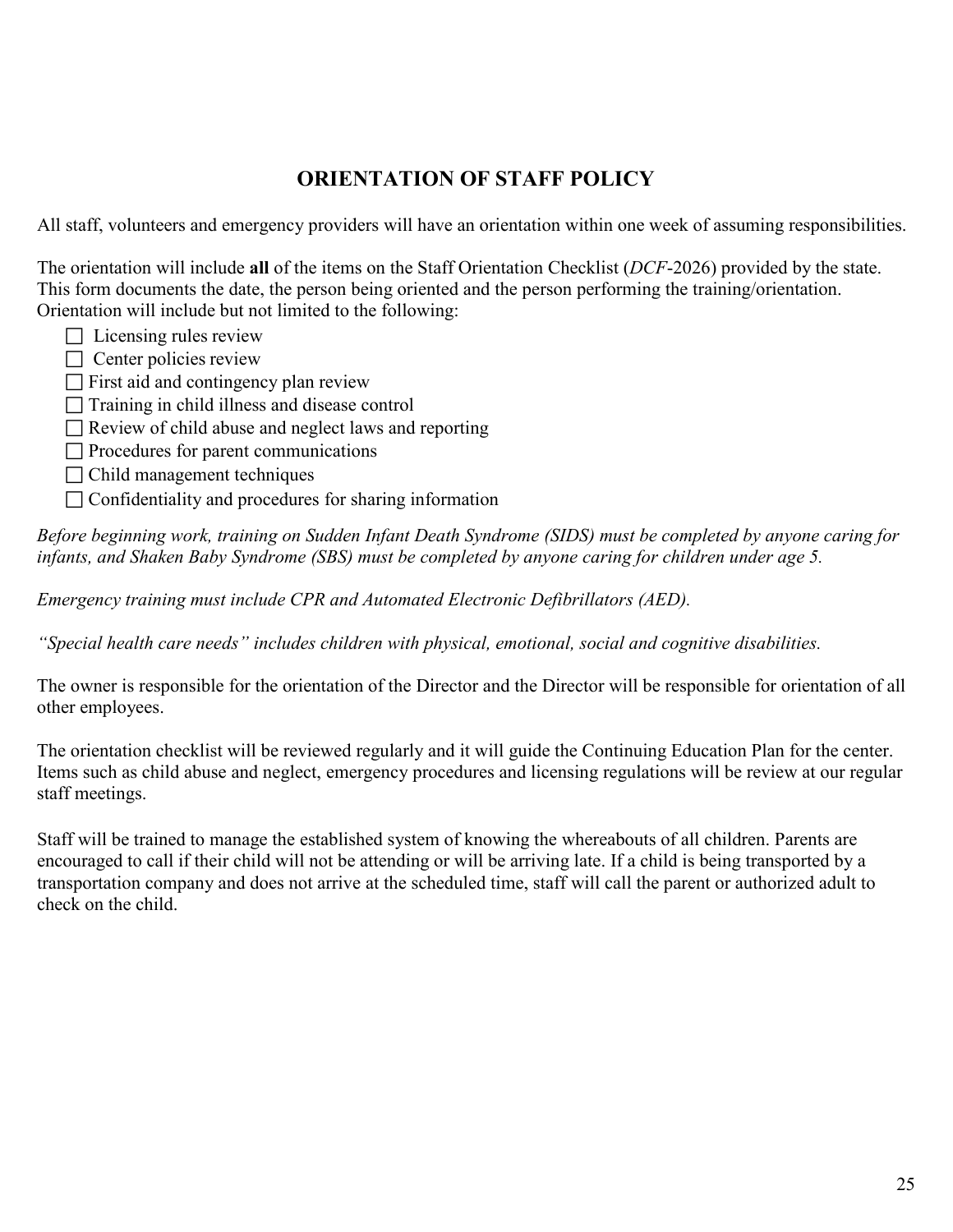## **ORIENTATION OF STAFF POLICY**

All staff, volunteers and emergency providers will have an orientation within one week of assuming responsibilities.

The orientation will include **all** of the items on the Staff Orientation Checklist (*DCF*-2026) provided by the state. This form documents the date, the person being oriented and the person performing the training/orientation. Orientation will include but not limited to the following:

- $\Box$  Licensing rules review
- $\Box$  Center policies review
- $\Box$  First aid and contingency plan review
- $\Box$  Training in child illness and disease control
- Review of child abuse and neglect laws and reporting
- $\Box$  Procedures for parent communications
- $\Box$  Child management techniques
- $\Box$  Confidentiality and procedures for sharing information

*Before beginning work, training on Sudden Infant Death Syndrome (SIDS) must be completed by anyone caring for infants, and Shaken Baby Syndrome (SBS) must be completed by anyone caring for children under age 5.*

*Emergency training must include CPR and Automated Electronic Defibrillators (AED).*

*"Special health care needs" includes children with physical, emotional, social and cognitive disabilities.*

The owner is responsible for the orientation of the Director and the Director will be responsible for orientation of all other employees.

The orientation checklist will be reviewed regularly and it will guide the Continuing Education Plan for the center. Items such as child abuse and neglect, emergency procedures and licensing regulations will be review at our regular staff meetings.

Staff will be trained to manage the established system of knowing the whereabouts of all children. Parents are encouraged to call if their child will not be attending or will be arriving late. If a child is being transported by a transportation company and does not arrive at the scheduled time, staff will call the parent or authorized adult to check on the child.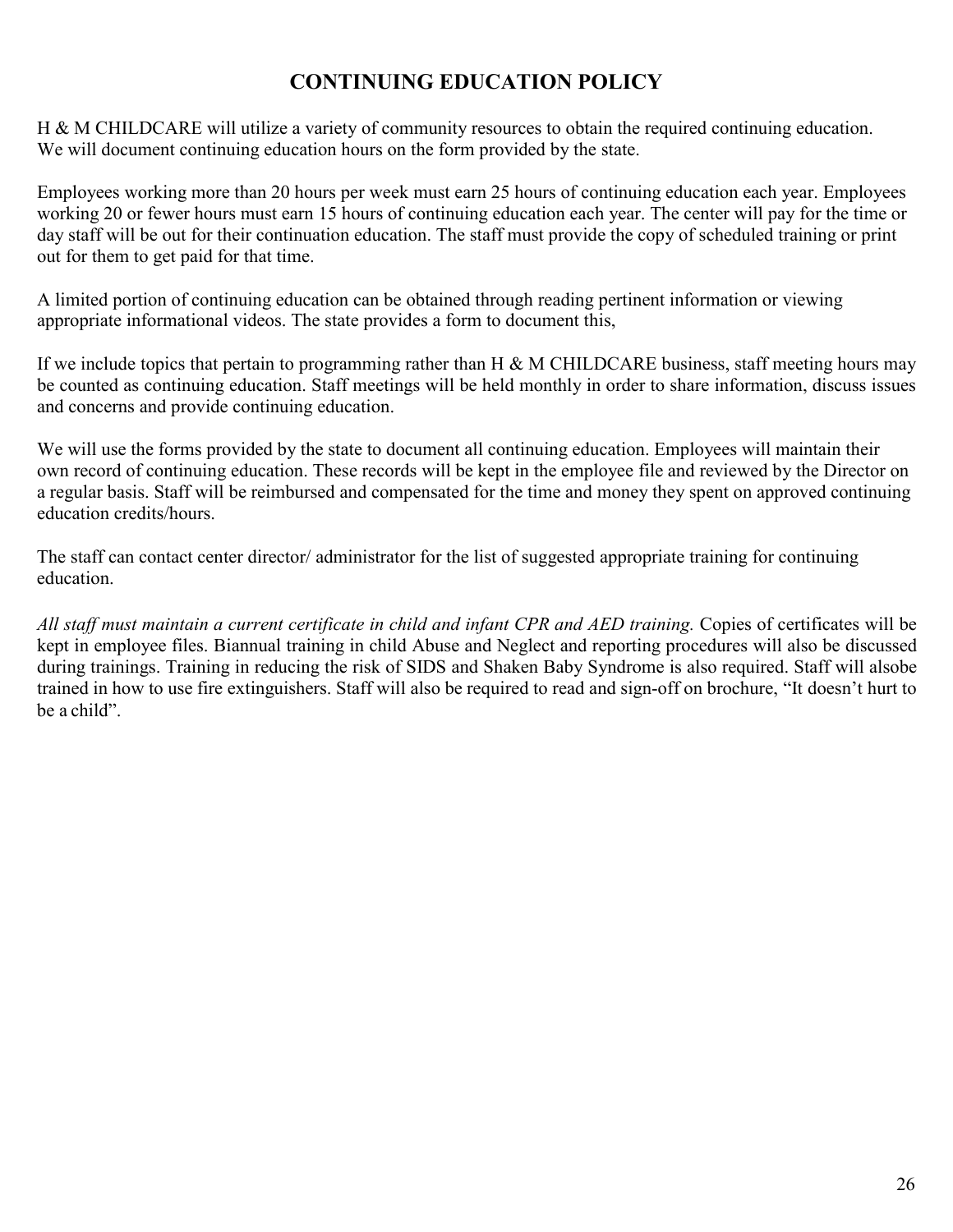## **CONTINUING EDUCATION POLICY**

H & M CHILDCARE will utilize a variety of community resources to obtain the required continuing education. We will document continuing education hours on the form provided by the state.

Employees working more than 20 hours per week must earn 25 hours of continuing education each year. Employees working 20 or fewer hours must earn 15 hours of continuing education each year. The center will pay for the time or day staff will be out for their continuation education. The staff must provide the copy of scheduled training or print out for them to get paid for that time.

A limited portion of continuing education can be obtained through reading pertinent information or viewing appropriate informational videos. The state provides a form to document this,

If we include topics that pertain to programming rather than H  $\&$  M CHILDCARE business, staff meeting hours may be counted as continuing education. Staff meetings will be held monthly in order to share information, discuss issues and concerns and provide continuing education.

We will use the forms provided by the state to document all continuing education. Employees will maintain their own record of continuing education. These records will be kept in the employee file and reviewed by the Director on a regular basis. Staff will be reimbursed and compensated for the time and money they spent on approved continuing education credits/hours.

The staff can contact center director/ administrator for the list of suggested appropriate training for continuing education.

*All staff must maintain a current certificate in child and infant CPR and AED training.* Copies of certificates will be kept in employee files. Biannual training in child Abuse and Neglect and reporting procedures will also be discussed during trainings. Training in reducing the risk of SIDS and Shaken Baby Syndrome is also required. Staff will alsobe trained in how to use fire extinguishers. Staff will also be required to read and sign-off on brochure, "It doesn't hurt to be a child".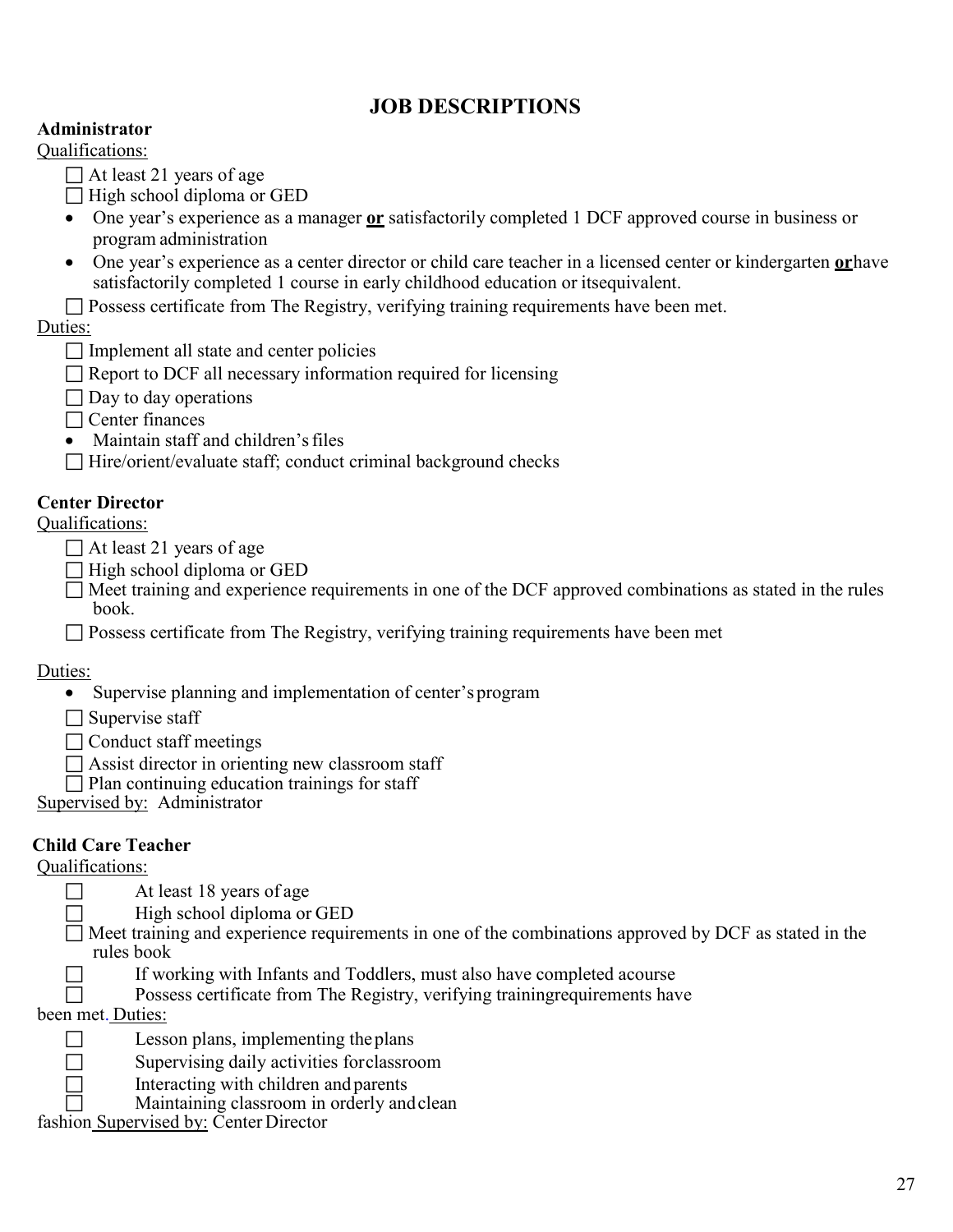## **JOB DESCRIPTIONS**

#### **Administrator**

Qualifications:

- $\Box$  At least 21 years of age
- $\Box$  High school diploma or GED
- One year's experience as a manager **or** satisfactorily completed 1 DCF approved course in business or program administration
- One year's experience as a center director or child care teacher in a licensed center or kindergarten **or**have satisfactorily completed 1 course in early childhood education or itsequivalent.
- $\Box$  Possess certificate from The Registry, verifying training requirements have been met.

Duties:

- $\Box$  Implement all state and center policies
- $\Box$  Report to DCF all necessary information required for licensing
- $\Box$  Day to day operations
- $\Box$  Center finances
- Maintain staff and children's files
- □ Hire/orient/evaluate staff; conduct criminal background checks

#### **Center Director**

#### Qualifications:

- $\Box$  At least 21 years of age
- $\Box$  High school diploma or GED
- $\Box$  Meet training and experience requirements in one of the DCF approved combinations as stated in the rules book.
- $\Box$  Possess certificate from The Registry, verifying training requirements have been met

#### Duties:

- Supervise planning and implementation of center's program
- $\Box$  Supervise staff
- $\Box$  Conduct staff meetings
- $\Box$  Assist director in orienting new classroom staff
- $\Box$  Plan continuing education trainings for staff

Supervised by: Administrator

#### **Child Care Teacher**

Qualifications:

- $\Box$  At least 18 years of age
- $\Box$  High school diploma or GED
- $\Box$  Meet training and experience requirements in one of the combinations approved by DCF as stated in the rules book
- $\Box$  If working with Infants and Toddlers, must also have completed acourse
- $\Box$  Possess certificate from The Registry, verifying training requirements have

been met. Duties:

- $\Box$  Lesson plans, implementing the plans
- $\Box$  Supervising daily activities forclassroom
- $\Box$  Interacting with children and parents
- Maintaining classroom in orderly andclean

fashion Supervised by: Center Director